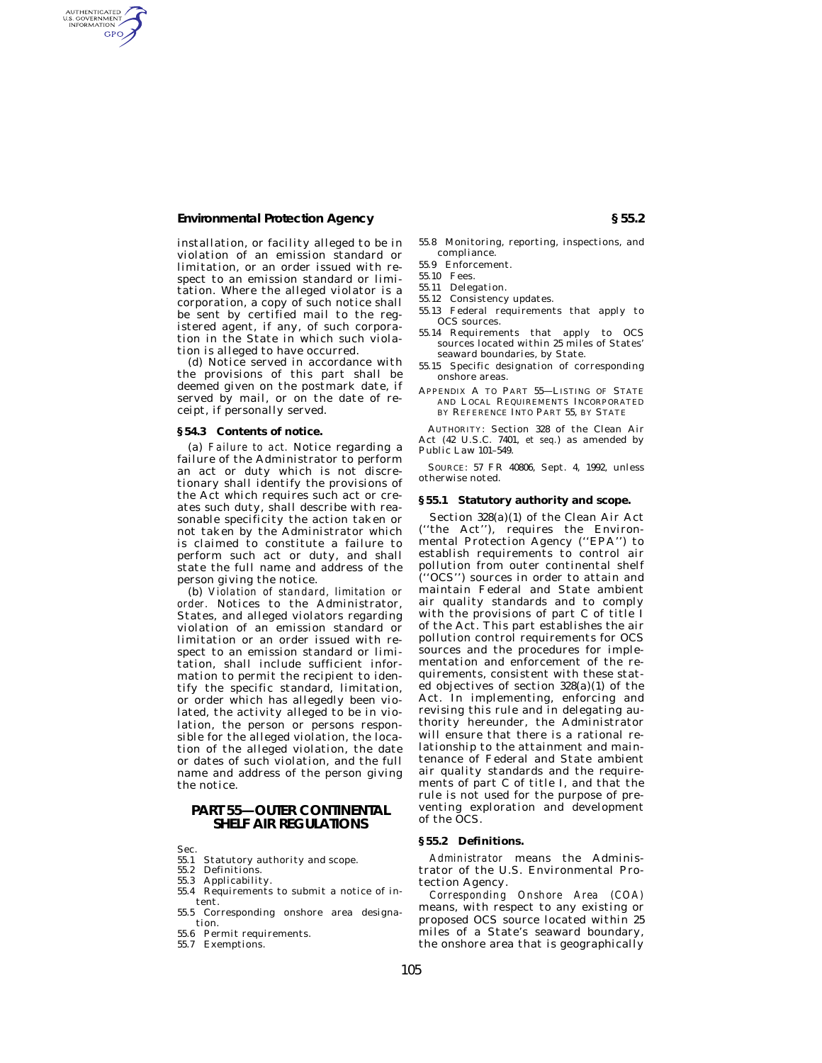AUTHENTICATED<br>U.S. GOVERNMENT<br>INFORMATION **GPO** 

> installation, or facility alleged to be in violation of an emission standard or limitation, or an order issued with respect to an emission standard or limitation. Where the alleged violator is a corporation, a copy of such notice shall be sent by certified mail to the registered agent, if any, of such corporation in the State in which such violation is alleged to have occurred.

> (d) Notice served in accordance with the provisions of this part shall be deemed given on the postmark date, if served by mail, or on the date of receipt, if personally served.

#### **§ 54.3 Contents of notice.**

(a) *Failure to act.* Notice regarding a failure of the Administrator to perform an act or duty which is not discretionary shall identify the provisions of the Act which requires such act or creates such duty, shall describe with reasonable specificity the action taken or not taken by the Administrator which is claimed to constitute a failure to perform such act or duty, and shall state the full name and address of the person giving the notice.

(b) *Violation of standard, limitation or order.* Notices to the Administrator, States, and alleged violators regarding violation of an emission standard or limitation or an order issued with respect to an emission standard or limitation, shall include sufficient information to permit the recipient to identify the specific standard, limitation, or order which has allegedly been violated, the activity alleged to be in violation, the person or persons responsible for the alleged violation, the location of the alleged violation, the date or dates of such violation, and the full name and address of the person giving the notice.

# **PART 55—OUTER CONTINENTAL SHELF AIR REGULATIONS**

Sec.

- 55.1 Statutory authority and scope.
- 55.2 Definitions.
- 55.3 Applicability. 55.4 Requirements to submit a notice of in-
- tent. 55.5 Corresponding onshore area designa-
- tion.
- 55.6 Permit requirements.
- 55.7 Exemptions.
- 55.8 Monitoring, reporting, inspections, and compliance.
- 55.9 Enforcement.
- 55.10 Fees.
- 55.11 Delegation.
- 55.12 Consistency updates.
- 55.13 Federal requirements that apply to OCS sources.
- 55.14 Requirements that apply to OCS sources located within 25 miles of States' seaward boundaries, by State.
- 55.15 Specific designation of corresponding onshore areas.
- APPENDIX A TO PART 55—LISTING OF STATE AND LOCAL REQUIREMENTS INCORPORATED BY REFERENCE INTO PART 55, BY STATE

AUTHORITY: Section 328 of the Clean Air Act (42 U.S.C. 7401, *et seq.*) as amended by Public Law 101–549.

SOURCE: 57 FR 40806, Sept. 4, 1992, unless otherwise noted.

#### **§ 55.1 Statutory authority and scope.**

Section 328(a)(1) of the Clean Air Act (''the Act''), requires the Environmental Protection Agency (''EPA'') to establish requirements to control air pollution from outer continental shelf (''OCS'') sources in order to attain and maintain Federal and State ambient air quality standards and to comply with the provisions of part C of title I of the Act. This part establishes the air pollution control requirements for OCS sources and the procedures for implementation and enforcement of the requirements, consistent with these stated objectives of section 328(a)(1) of the Act. In implementing, enforcing and revising this rule and in delegating authority hereunder, the Administrator will ensure that there is a rational relationship to the attainment and maintenance of Federal and State ambient air quality standards and the requirements of part C of title I, and that the rule is not used for the purpose of preventing exploration and development of the OCS.

# **§ 55.2 Definitions.**

*Administrator* means the Administrator of the U.S. Environmental Protection Agency.

*Corresponding Onshore Area (COA)* means, with respect to any existing or proposed OCS source located within 25 miles of a State's seaward boundary, the onshore area that is geographically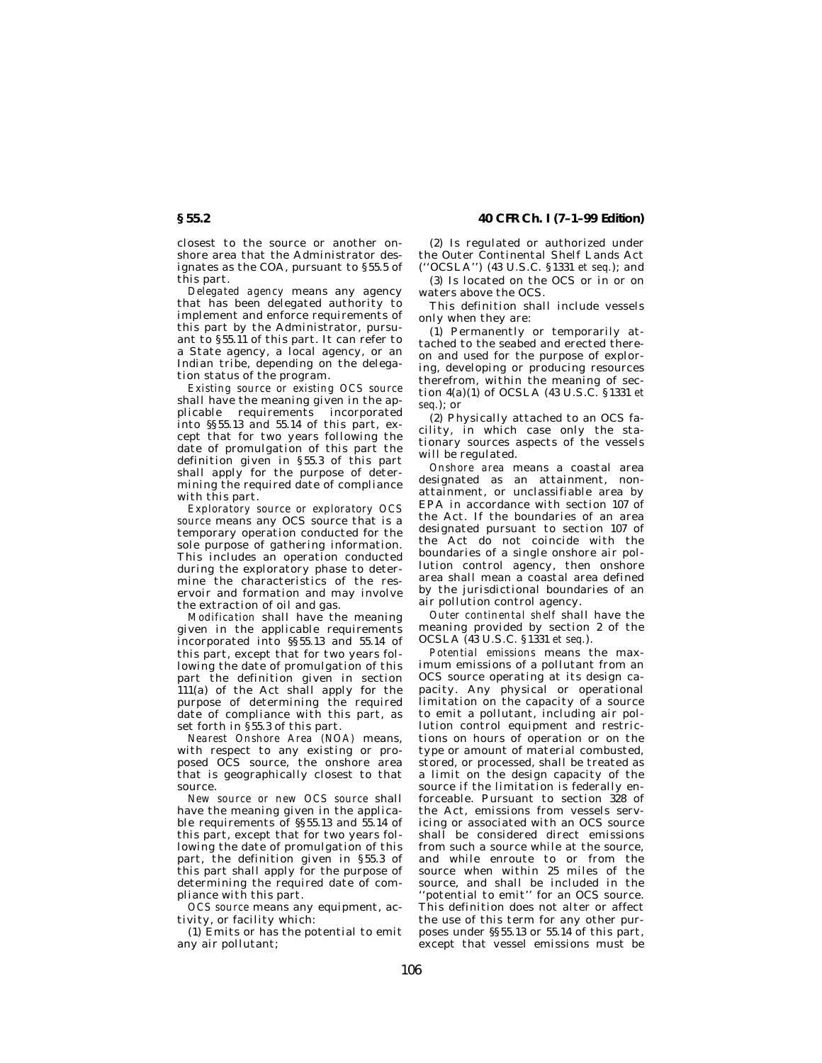closest to the source or another onshore area that the Administrator designates as the COA, pursuant to § 55.5 of this part.

*Delegated agency* means any agency that has been delegated authority to implement and enforce requirements of this part by the Administrator, pursuant to § 55.11 of this part. It can refer to a State agency, a local agency, or an Indian tribe, depending on the delegation status of the program.

*Existing source or existing OCS source* shall have the meaning given in the applicable requirements incorporated into §§ 55.13 and 55.14 of this part, except that for two years following the date of promulgation of this part the definition given in § 55.3 of this part shall apply for the purpose of determining the required date of compliance with this part.

*Exploratory source or exploratory OCS source* means any OCS source that is a temporary operation conducted for the sole purpose of gathering information. This includes an operation conducted during the exploratory phase to determine the characteristics of the reservoir and formation and may involve the extraction of oil and gas.

*Modification* shall have the meaning given in the applicable requirements incorporated into §§ 55.13 and 55.14 of this part, except that for two years following the date of promulgation of this part the definition given in section 111(a) of the Act shall apply for the purpose of determining the required date of compliance with this part, as set forth in §55.3 of this part.

*Nearest Onshore Area (NOA)* means, with respect to any existing or proposed OCS source, the onshore area .<br>that is geographically closest to that source.

*New source or new OCS source* shall have the meaning given in the applicable requirements of §§ 55.13 and 55.14 of this part, except that for two years following the date of promulgation of this part, the definition given in § 55.3 of this part shall apply for the purpose of determining the required date of compliance with this part.

*OCS source* means any equipment, activity, or facility which:

(1) Emits or has the potential to emit any air pollutant;

(2) Is regulated or authorized under the Outer Continental Shelf Lands Act (''OCSLA'') (43 U.S.C. § 1331 *et seq.*); and

(3) Is located on the OCS or in or on waters above the OCS.

This definition shall include vessels only when they are:

(1) Permanently or temporarily attached to the seabed and erected thereon and used for the purpose of exploring, developing or producing resources therefrom, within the meaning of section 4(a)(1) of OCSLA (43 U.S.C. § 1331 *et seq.*); or

(2) Physically attached to an OCS facility, in which case only the stationary sources aspects of the vessels will be regulated.

*Onshore area* means a coastal area designated as an attainment, nonattainment, or unclassifiable area by EPA in accordance with section 107 of the Act. If the boundaries of an area designated pursuant to section 107 of the Act do not coincide with the boundaries of a single onshore air pollution control agency, then onshore area shall mean a coastal area defined by the jurisdictional boundaries of an air pollution control agency.

*Outer continental shelf* shall have the meaning provided by section 2 of the OCSLA (43 U.S.C. §1331 *et seq.*).

*Potential emissions* means the maximum emissions of a pollutant from an OCS source operating at its design capacity. Any physical or operational limitation on the capacity of a source to emit a pollutant, including air pollution control equipment and restrictions on hours of operation or on the type or amount of material combusted, stored, or processed, shall be treated as a limit on the design capacity of the source if the limitation is federally enforceable. Pursuant to section 328 of the Act, emissions from vessels servicing or associated with an OCS source shall be considered direct emissions from such a source while at the source, and while enroute to or from the source when within 25 miles of the source, and shall be included in the 'potential to emit'' for an OCS source. This definition does not alter or affect the use of this term for any other purposes under §§ 55.13 or 55.14 of this part, except that vessel emissions must be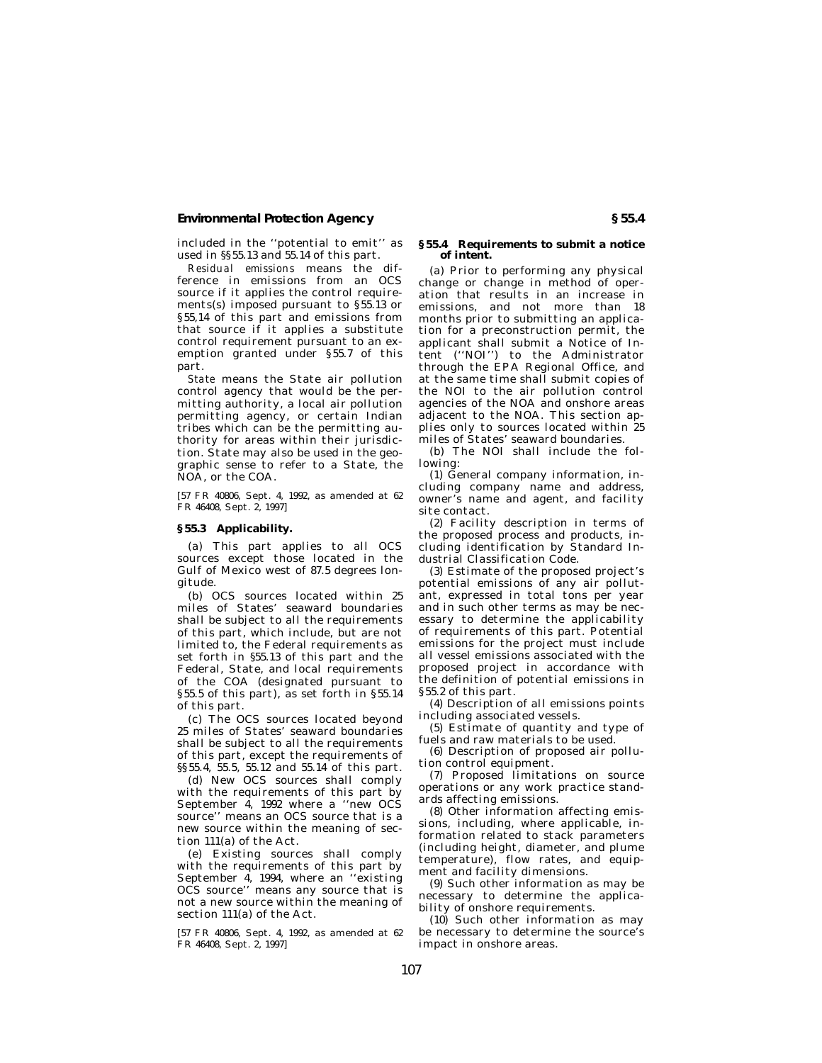included in the ''potential to emit'' as used in §§ 55.13 and 55.14 of this part.

*Residual emissions* means the difference in emissions from an OCS source if it applies the control requirements(s) imposed pursuant to § 55.13 or § 55,14 of this part and emissions from that source if it applies a substitute control requirement pursuant to an exemption granted under § 55.7 of this part.

*State* means the State air pollution control agency that would be the permitting authority, a local air pollution permitting agency, or certain Indian tribes which can be the permitting authority for areas within their jurisdiction. State may also be used in the geographic sense to refer to a State, the NOA, or the COA.

[57 FR 40806, Sept. 4, 1992, as amended at 62 FR 46408, Sept. 2, 1997]

#### **§ 55.3 Applicability.**

(a) This part applies to all OCS sources except those located in the Gulf of Mexico west of 87.5 degrees longitude.

(b) OCS sources located within 25 miles of States' seaward boundaries shall be subject to all the requirements of this part, which include, but are not limited to, the Federal requirements as set forth in §55.13 of this part and the Federal, State, and local requirements of the COA (designated pursuant to § 55.5 of this part), as set forth in § 55.14 of this part.

(c) The OCS sources located beyond 25 miles of States' seaward boundaries shall be subject to all the requirements of this part, except the requirements of §§ 55.4, 55.5, 55.12 and 55.14 of this part.

(d) New OCS sources shall comply with the requirements of this part by September 4, 1992 where a ''new OCS source'' means an OCS source that is a new source within the meaning of section 111(a) of the Act.

(e) Existing sources shall comply with the requirements of this part by September 4, 1994, where an "existing OCS source'' means any source that is not a new source within the meaning of section 111(a) of the Act.

[57 FR 40806, Sept. 4, 1992, as amended at 62 FR 46408, Sept. 2, 1997]

#### **§ 55.4 Requirements to submit a notice of intent.**

(a) Prior to performing any physical change or change in method of operation that results in an increase in emissions, and not more than 18 months prior to submitting an application for a preconstruction permit, the applicant shall submit a Notice of Intent (''NOI'') to the Administrator through the EPA Regional Office, and at the same time shall submit copies of the NOI to the air pollution control agencies of the NOA and onshore areas adjacent to the NOA. This section applies only to sources located within 25 miles of States' seaward boundaries.

(b) The NOI shall include the following:

(1) General company information, including company name and address, owner's name and agent, and facility site contact.

(2) Facility description in terms of the proposed process and products, including identification by Standard Industrial Classification Code.

(3) Estimate of the proposed project's potential emissions of any air pollutant, expressed in total tons per year and in such other terms as may be necessary to determine the applicability of requirements of this part. Potential emissions for the project must include all vessel emissions associated with the proposed project in accordance with the definition of potential emissions in §55.2 of this part.

(4) Description of all emissions points including associated vessels.

(5) Estimate of quantity and type of fuels and raw materials to be used.

(6) Description of proposed air pollution control equipment.

(7) Proposed limitations on source operations or any work practice standards affecting emissions.

(8) Other information affecting emissions, including, where applicable, information related to stack parameters (including height, diameter, and plume temperature), flow rates, and equipment and facility dimensions.

(9) Such other information as may be necessary to determine the applicability of onshore requirements.

(10) Such other information as may be necessary to determine the source's impact in onshore areas.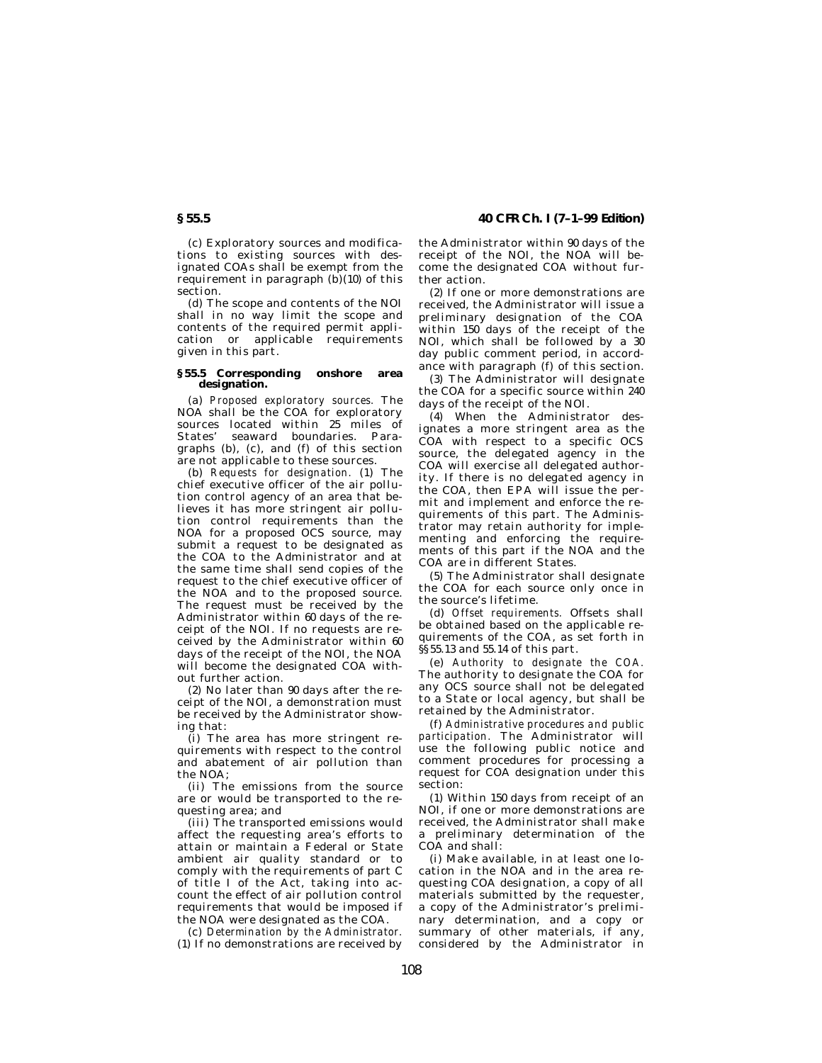(c) Exploratory sources and modifications to existing sources with designated COAs shall be exempt from the requirement in paragraph  $(b)(10)$  of this section.

(d) The scope and contents of the NOI shall in no way limit the scope and contents of the required permit application or applicable requirements given in this part.

#### **§ 55.5 Corresponding onshore area designation.**

(a) *Proposed exploratory sources.* The NOA shall be the COA for exploratory sources located within 25 miles of<br>States' seaward boundaries Paraseaward boundaries. Paragraphs (b), (c), and (f) of this section are not applicable to these sources.

(b) *Requests for designation.* (1) The chief executive officer of the air pollution control agency of an area that believes it has more stringent air pollution control requirements than the NOA for a proposed OCS source, may submit a request to be designated as the COA to the Administrator and at the same time shall send copies of the request to the chief executive officer of the NOA and to the proposed source. The request must be received by the Administrator within 60 days of the receipt of the NOI. If no requests are received by the Administrator within 60 days of the receipt of the NOI, the NOA will become the designated COA without further action.

(2) No later than 90 days after the receipt of the NOI, a demonstration must be received by the Administrator showing that:

(i) The area has more stringent requirements with respect to the control and abatement of air pollution than the NOA;

(ii) The emissions from the source are or would be transported to the requesting area; and

(iii) The transported emissions would affect the requesting area's efforts to attain or maintain a Federal or State ambient air quality standard or to comply with the requirements of part C of title I of the Act, taking into account the effect of air pollution control requirements that would be imposed if the NOA were designated as the COA.

(c) *Determination by the Administrator.* (1) If no demonstrations are received by

**§ 55.5 40 CFR Ch. I (7–1–99 Edition)**

the Administrator within 90 days of the receipt of the NOI, the NOA will become the designated COA without further action.

(2) If one or more demonstrations are received, the Administrator will issue a preliminary designation of the COA within 150 days of the receipt of the NOI, which shall be followed by a 30 day public comment period, in accordance with paragraph (f) of this section.

(3) The Administrator will designate the COA for a specific source within 240 days of the receipt of the NOI.

(4) When the Administrator designates a more stringent area as the COA with respect to a specific OCS source, the delegated agency in the COA will exercise all delegated authority. If there is no delegated agency in the COA, then EPA will issue the permit and implement and enforce the requirements of this part. The Administrator may retain authority for implementing and enforcing the requirements of this part if the NOA and the COA are in different States.

(5) The Administrator shall designate the COA for each source only once in the source's lifetime.

(d) *Offset requirements.* Offsets shall be obtained based on the applicable requirements of the COA, as set forth in §§ 55.13 and 55.14 of this part.

(e) *Authority to designate the COA.* The authority to designate the COA for any OCS source shall not be delegated to a State or local agency, but shall be retained by the Administrator.

(f) *Administrative procedures and public participation.* The Administrator will use the following public notice and comment procedures for processing a request for COA designation under this section:

(1) Within 150 days from receipt of an NOI, if one or more demonstrations are received, the Administrator shall make a preliminary determination of the COA and shall:

(i) Make available, in at least one location in the NOA and in the area requesting COA designation, a copy of all materials submitted by the requester, a copy of the Administrator's preliminary determination, and a copy or summary of other materials, if any, considered by the Administrator in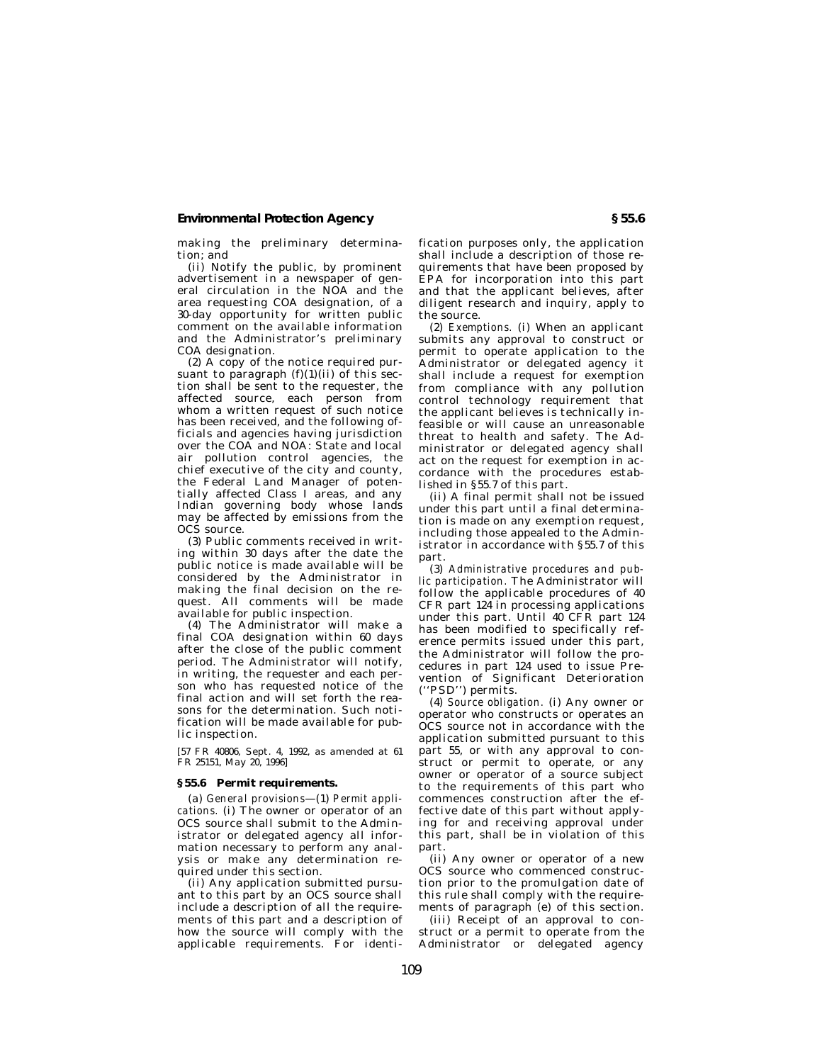making the preliminary determination; and

(ii) Notify the public, by prominent advertisement in a newspaper of general circulation in the NOA and the area requesting COA designation, of a 30-day opportunity for written public comment on the available information and the Administrator's preliminary COA designation.

(2) A copy of the notice required pursuant to paragraph  $(f)(1)(ii)$  of this section shall be sent to the requester, the affected source, each person from whom a written request of such notice has been received, and the following officials and agencies having jurisdiction over the COA and NOA: State and local air pollution control agencies, the chief executive of the city and county, the Federal Land Manager of potentially affected Class I areas, and any Indian governing body whose lands may be affected by emissions from the OCS source.

(3) Public comments received in writing within 30 days after the date the public notice is made available will be considered by the Administrator in making the final decision on the request. All comments will be made available for public inspection.

(4) The Administrator will make a final COA designation within 60 days after the close of the public comment period. The Administrator will notify, in writing, the requester and each person who has requested notice of the final action and will set forth the reasons for the determination. Such notification will be made available for public inspection.

[57 FR 40806, Sept. 4, 1992, as amended at 61 FR 25151, May 20, 1996]

### **§ 55.6 Permit requirements.**

(a) *General provisions*—(1) *Permit applications.* (i) The owner or operator of an OCS source shall submit to the Administrator or delegated agency all information necessary to perform any analysis or make any determination required under this section.

(ii) Any application submitted pursuant to this part by an OCS source shall include a description of all the requirements of this part and a description of how the source will comply with the applicable requirements. For identification purposes only, the application shall include a description of those requirements that have been proposed by EPA for incorporation into this part and that the applicant believes, after diligent research and inquiry, apply to the source.

(2) *Exemptions.* (i) When an applicant submits any approval to construct or permit to operate application to the Administrator or delegated agency it shall include a request for exemption from compliance with any pollution control technology requirement that the applicant believes is technically infeasible or will cause an unreasonable threat to health and safety. The Administrator or delegated agency shall act on the request for exemption in accordance with the procedures established in §55.7 of this part.

(ii) A final permit shall not be issued under this part until a final determination is made on any exemption request, including those appealed to the Administrator in accordance with § 55.7 of this part.

(3) *Administrative procedures and public participation.* The Administrator will follow the applicable procedures of 40 CFR part 124 in processing applications under this part. Until 40 CFR part 124 has been modified to specifically reference permits issued under this part, the Administrator will follow the procedures in part 124 used to issue Prevention of Significant Deterioration (''PSD'') permits.

(4) *Source obligation.* (i) Any owner or operator who constructs or operates an OCS source not in accordance with the application submitted pursuant to this part 55, or with any approval to construct or permit to operate, or any owner or operator of a source subject to the requirements of this part who commences construction after the effective date of this part without applying for and receiving approval under this part, shall be in violation of this part.

(ii) Any owner or operator of a new OCS source who commenced construction prior to the promulgation date of this rule shall comply with the requirements of paragraph (e) of this section.

(iii) Receipt of an approval to construct or a permit to operate from the Administrator or delegated agency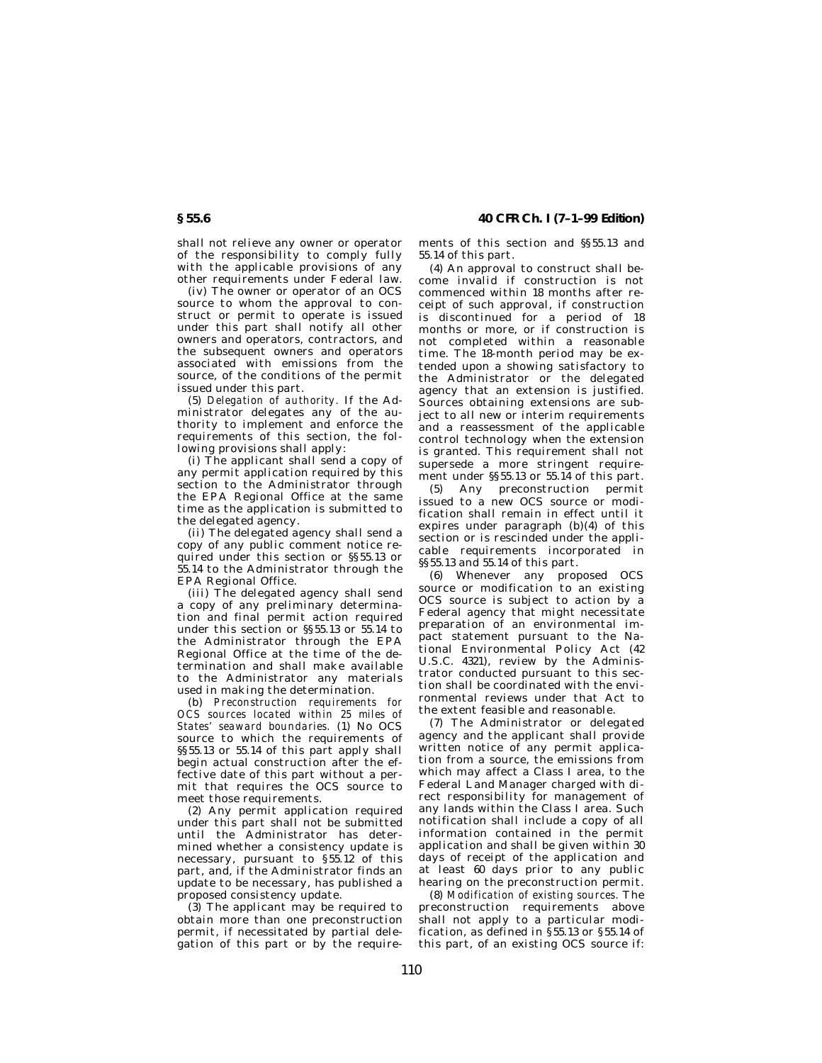shall not relieve any owner or operator of the responsibility to comply fully with the applicable provisions of any other requirements under Federal law.

(iv) The owner or operator of an OCS source to whom the approval to construct or permit to operate is issued under this part shall notify all other owners and operators, contractors, and the subsequent owners and operators associated with emissions from the source, of the conditions of the permit issued under this part.

(5) *Delegation of authority.* If the Administrator delegates any of the authority to implement and enforce the requirements of this section, the following provisions shall apply:

(i) The applicant shall send a copy of any permit application required by this section to the Administrator through the EPA Regional Office at the same time as the application is submitted to the delegated agency.

(ii) The delegated agency shall send a copy of any public comment notice required under this section or §§ 55.13 or 55.14 to the Administrator through the EPA Regional Office.

(iii) The delegated agency shall send a copy of any preliminary determination and final permit action required under this section or §§ 55.13 or 55.14 to the Administrator through the EPA Regional Office at the time of the determination and shall make available to the Administrator any materials used in making the determination.

(b) *Preconstruction requirements for OCS sources located within 25 miles of States' seaward boundaries.* (1) No OCS source to which the requirements of §§55.13 or 55.14 of this part apply shall begin actual construction after the effective date of this part without a permit that requires the OCS source to meet those requirements.

(2) Any permit application required under this part shall not be submitted until the Administrator has determined whether a consistency update is necessary, pursuant to §55.12 of this part, and, if the Administrator finds an update to be necessary, has published a proposed consistency update.

(3) The applicant may be required to obtain more than one preconstruction permit, if necessitated by partial delegation of this part or by the requirements of this section and §§ 55.13 and 55.14 of this part.

(4) An approval to construct shall become invalid if construction is not commenced within 18 months after receipt of such approval, if construction is discontinued for a period of 18 months or more, or if construction is not completed within a reasonable time. The 18-month period may be extended upon a showing satisfactory to the Administrator or the delegated agency that an extension is justified. Sources obtaining extensions are subject to all new or interim requirements and a reassessment of the applicable control technology when the extension is granted. This requirement shall not supersede a more stringent requirement under §§ 55.13 or 55.14 of this part.

(5) Any preconstruction permit issued to a new OCS source or modification shall remain in effect until it expires under paragraph (b)(4) of this section or is rescinded under the applicable requirements incorporated in §§ 55.13 and 55.14 of this part.

(6) Whenever any proposed OCS source or modification to an existing OCS source is subject to action by a Federal agency that might necessitate preparation of an environmental impact statement pursuant to the National Environmental Policy Act (42 U.S.C. 4321), review by the Administrator conducted pursuant to this section shall be coordinated with the environmental reviews under that Act to the extent feasible and reasonable.

(7) The Administrator or delegated agency and the applicant shall provide written notice of any permit application from a source, the emissions from which may affect a Class I area, to the Federal Land Manager charged with direct responsibility for management of any lands within the Class I area. Such notification shall include a copy of all information contained in the permit application and shall be given within 30 days of receipt of the application and at least 60 days prior to any public hearing on the preconstruction permit.

(8) *Modification of existing sources.* The preconstruction requirements above shall not apply to a particular modification, as defined in  $\S 55.13$  or  $\S 55.14$  of this part, of an existing OCS source if: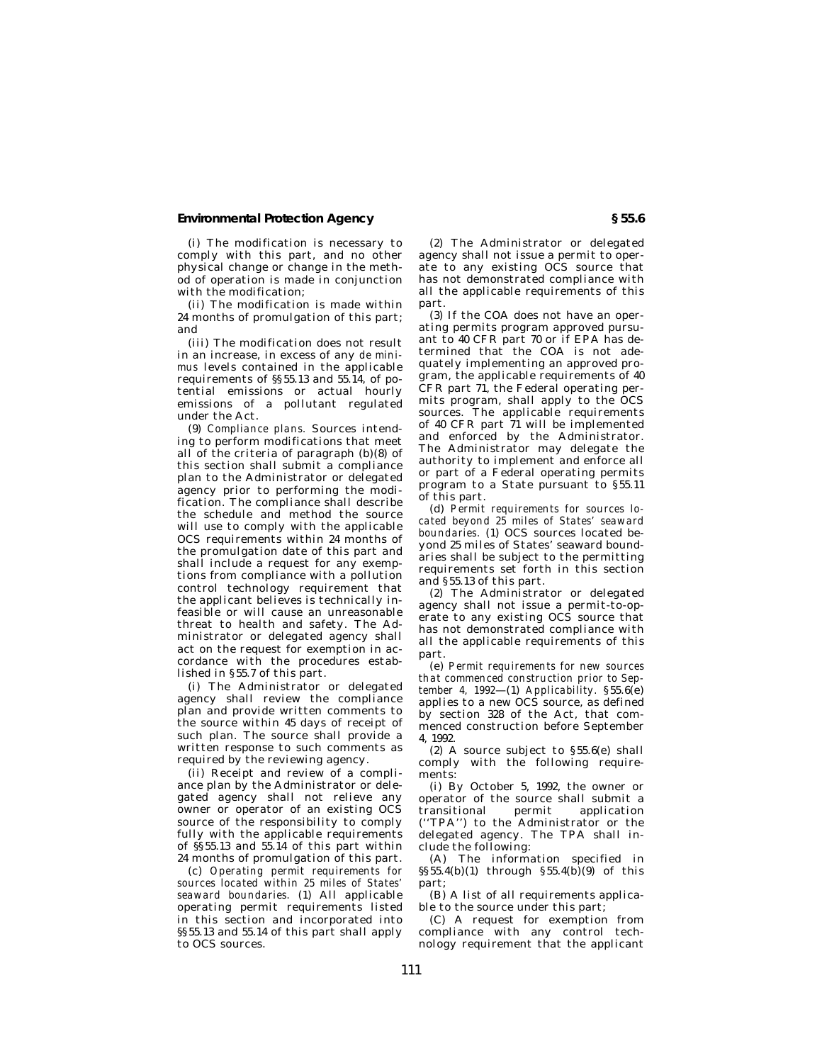(i) The modification is necessary to comply with this part, and no other physical change or change in the method of operation is made in conjunction with the modification;

(ii) The modification is made within 24 months of promulgation of this part; and

(iii) The modification does not result in an increase, in excess of any *de minimus* levels contained in the applicable requirements of §§ 55.13 and 55.14, of potential emissions or actual hourly emissions of a pollutant regulated under the Act.

(9) *Compliance plans.* Sources intending to perform modifications that meet all of the criteria of paragraph (b)(8) of this section shall submit a compliance plan to the Administrator or delegated agency prior to performing the modification. The compliance shall describe the schedule and method the source will use to comply with the applicable OCS requirements within 24 months of the promulgation date of this part and shall include a request for any exemptions from compliance with a pollution control technology requirement that the applicant believes is technically infeasible or will cause an unreasonable threat to health and safety. The Administrator or delegated agency shall act on the request for exemption in accordance with the procedures established in §55.7 of this part.

(i) The Administrator or delegated agency shall review the compliance plan and provide written comments to the source within 45 days of receipt of such plan. The source shall provide a written response to such comments as required by the reviewing agency.

(ii) Receipt and review of a compliance plan by the Administrator or delegated agency shall not relieve any owner or operator of an existing OCS source of the responsibility to comply fully with the applicable requirements of §§ 55.13 and 55.14 of this part within 24 months of promulgation of this part.

(c) *Operating permit requirements for sources located within 25 miles of States' seaward boundaries.* (1) All applicable operating permit requirements listed in this section and incorporated into §§ 55.13 and 55.14 of this part shall apply to OCS sources.

(2) The Administrator or delegated agency shall not issue a permit to operate to any existing OCS source that has not demonstrated compliance with all the applicable requirements of this part.

(3) If the COA does not have an operating permits program approved pursuant to 40 CFR part 70 or if EPA has determined that the COA is not adequately implementing an approved program, the applicable requirements of 40 CFR part 71, the Federal operating permits program, shall apply to the OCS sources. The applicable requirements of 40 CFR part 71 will be implemented and enforced by the Administrator. The Administrator may delegate the authority to implement and enforce all or part of a Federal operating permits program to a State pursuant to § 55.11 of this part.

(d) *Permit requirements for sources located beyond 25 miles of States' seaward boundaries.* (1) OCS sources located beyond 25 miles of States' seaward boundaries shall be subject to the permitting requirements set forth in this section and §55.13 of this part.

(2) The Administrator or delegated agency shall not issue a permit-to-operate to any existing OCS source that has not demonstrated compliance with all the applicable requirements of this part.

(e) *Permit requirements for new sources that commenced construction prior to September 4, 1992*—(1) *Applicability.* § 55.6(e) applies to a new OCS source, as defined by section 328 of the Act, that commenced construction before September 4, 1992.

(2) A source subject to § 55.6(e) shall comply with the following requirements:

(i) By October 5, 1992, the owner or operator of the source shall submit a<br>transitional permit application permit application (''TPA'') to the Administrator or the delegated agency. The TPA shall include the following:

(A) The information specified in  $\S$ §55.4(b)(1) through §55.4(b)(9) of this part;

(B) A list of all requirements applicable to the source under this part;

(C) A request for exemption from compliance with any control technology requirement that the applicant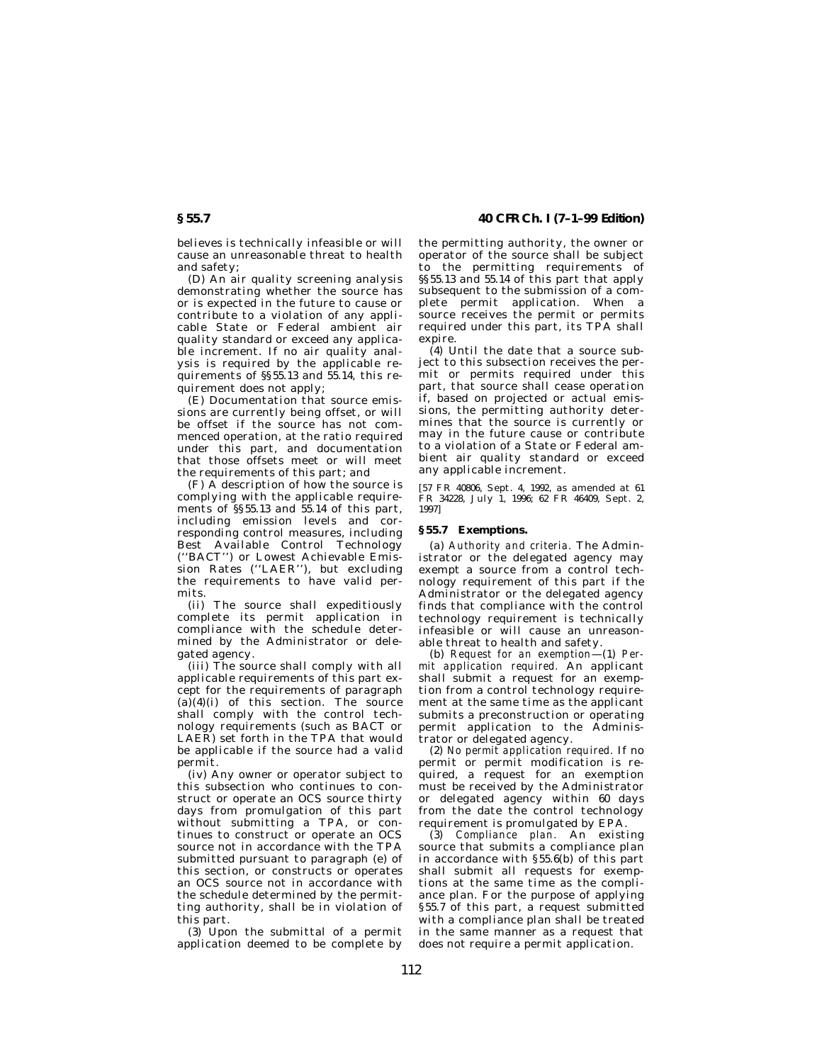believes is technically infeasible or will cause an unreasonable threat to health and safety;

(D) An air quality screening analysis demonstrating whether the source has or is expected in the future to cause or contribute to a violation of any applicable State or Federal ambient air quality standard or exceed any applicable increment. If no air quality analysis is required by the applicable requirements of §§ 55.13 and 55.14, this requirement does not apply;

(E) Documentation that source emissions are currently being offset, or will be offset if the source has not commenced operation, at the ratio required under this part, and documentation that those offsets meet or will meet the requirements of this part; and

 $(F)$  A description of how the source is complying with the applicable requirements of §§ 55.13 and 55.14 of this part, including emission levels and corresponding control measures, including Best Available Control Technology (''BACT'') or Lowest Achievable Emission Rates (''LAER''), but excluding the requirements to have valid permits.

(ii) The source shall expeditiously complete its permit application in compliance with the schedule determined by the Administrator or delegated agency.

(iii) The source shall comply with all applicable requirements of this part except for the requirements of paragraph  $(a)(4)(i)$  of this section. The source shall comply with the control technology requirements (such as BACT or LAER) set forth in the TPA that would be applicable if the source had a valid permit.

(iv) Any owner or operator subject to this subsection who continues to construct or operate an OCS source thirty days from promulgation of this part without submitting a TPA, or continues to construct or operate an OCS source not in accordance with the TPA submitted pursuant to paragraph (e) of this section, or constructs or operates an OCS source not in accordance with the schedule determined by the permitting authority, shall be in violation of this part.

(3) Upon the submittal of a permit application deemed to be complete by

**§ 55.7 40 CFR Ch. I (7–1–99 Edition)**

the permitting authority, the owner or operator of the source shall be subject to the permitting requirements of §§ 55.13 and 55.14 of this part that apply subsequent to the submission of a complete permit application. When a source receives the permit or permits required under this part, its TPA shall expire.

 $(4)$  Until the date that a source subject to this subsection receives the permit or permits required under this part, that source shall cease operation if, based on projected or actual emissions, the permitting authority determines that the source is currently or may in the future cause or contribute to a violation of a State or Federal ambient air quality standard or exceed any applicable increment.

[57 FR 40806, Sept. 4, 1992, as amended at 61 FR 34228, July 1, 1996; 62 FR 46409, Sept. 2, 1997]

#### **§ 55.7 Exemptions.**

(a) *Authority and criteria.* The Administrator or the delegated agency may exempt a source from a control technology requirement of this part if the Administrator or the delegated agency finds that compliance with the control technology requirement is technically infeasible or will cause an unreasonable threat to health and safety.

(b) *Request for an exemption*—(1) *Permit application required.* An applicant shall submit a request for an exemption from a control technology requirement at the same time as the applicant submits a preconstruction or operating permit application to the Administrator or delegated agency.

(2) *No permit application required.* If no permit or permit modification is required, a request for an exemption must be received by the Administrator or delegated agency within 60 days from the date the control technology requirement is promulgated by EPA.

(3) *Compliance plan.* An existing source that submits a compliance plan in accordance with § 55.6(b) of this part shall submit all requests for exemptions at the same time as the compliance plan. For the purpose of applying § 55.7 of this part, a request submitted with a compliance plan shall be treated in the same manner as a request that does not require a permit application.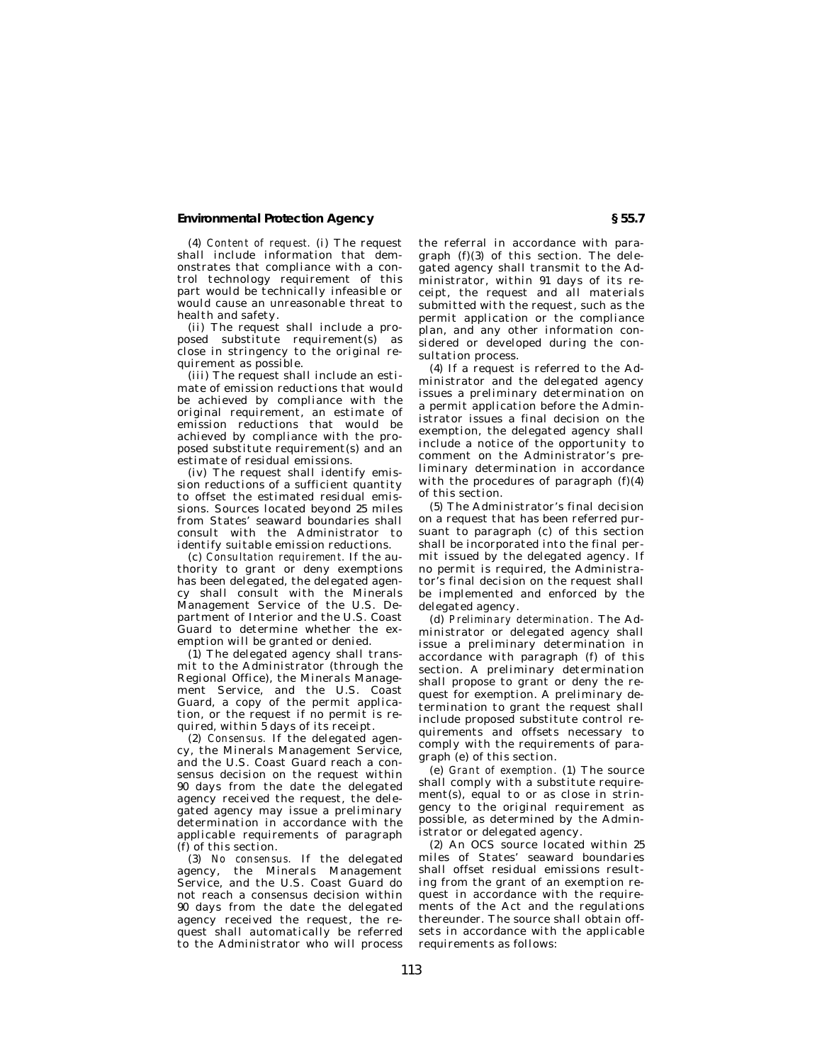(4) *Content of request.* (i) The request shall include information that demonstrates that compliance with a control technology requirement of this part would be technically infeasible or would cause an unreasonable threat to health and safety.

(ii) The request shall include a proposed substitute requirement(s) as close in stringency to the original requirement as possible.

(iii) The request shall include an estimate of emission reductions that would be achieved by compliance with the original requirement, an estimate of emission reductions that would be achieved by compliance with the proposed substitute requirement(s) and an estimate of residual emissions.

(iv) The request shall identify emission reductions of a sufficient quantity to offset the estimated residual emissions. Sources located beyond 25 miles from States' seaward boundaries shall consult with the Administrator to identify suitable emission reductions.

(c) *Consultation requirement.* If the authority to grant or deny exemptions has been delegated, the delegated agency shall consult with the Minerals Management Service of the U.S. Department of Interior and the U.S. Coast Guard to determine whether the exemption will be granted or denied.

(1) The delegated agency shall transmit to the Administrator (through the Regional Office), the Minerals Management Service, and the U.S. Coast Guard, a copy of the permit application, or the request if no permit is required, within  $5$  days of its receipt.

(2) *Consensus.* If the delegated agency, the Minerals Management Service, and the U.S. Coast Guard reach a consensus decision on the request within 90 days from the date the delegated agency received the request, the delegated agency may issue a preliminary determination in accordance with the applicable requirements of paragraph  $(f)$  of this section.

(3) *No consensus.* If the delegated agency, the Minerals Management Service, and the U.S. Coast Guard do not reach a consensus decision within 90 days from the date the delegated agency received the request, the request shall automatically be referred to the Administrator who will process

the referral in accordance with paragraph (f)(3) of this section. The delegated agency shall transmit to the Administrator, within 91 days of its receipt, the request and all materials submitted with the request, such as the permit application or the compliance plan, and any other information considered or developed during the consultation process.

(4) If a request is referred to the Administrator and the delegated agency issues a preliminary determination on a permit application before the Administrator issues a final decision on the exemption, the delegated agency shall include a notice of the opportunity to comment on the Administrator's preliminary determination in accordance with the procedures of paragraph  $(f)(4)$ of this section.

(5) The Administrator's final decision on a request that has been referred pursuant to paragraph (c) of this section shall be incorporated into the final permit issued by the delegated agency. If no permit is required, the Administrator's final decision on the request shall be implemented and enforced by the delegated agency.

(d) *Preliminary determination.* The Administrator or delegated agency shall issue a preliminary determination in accordance with paragraph (f) of this section. A preliminary determination shall propose to grant or deny the request for exemption. A preliminary determination to grant the request shall include proposed substitute control requirements and offsets necessary to comply with the requirements of paragraph (e) of this section.

(e) *Grant of exemption.* (1) The source shall comply with a substitute requirement(s), equal to or as close in stringency to the original requirement as possible, as determined by the Administrator or delegated agency.

(2) An OCS source located within 25 miles of States' seaward boundaries shall offset residual emissions resulting from the grant of an exemption request in accordance with the requirements of the Act and the regulations thereunder. The source shall obtain offsets in accordance with the applicable requirements as follows: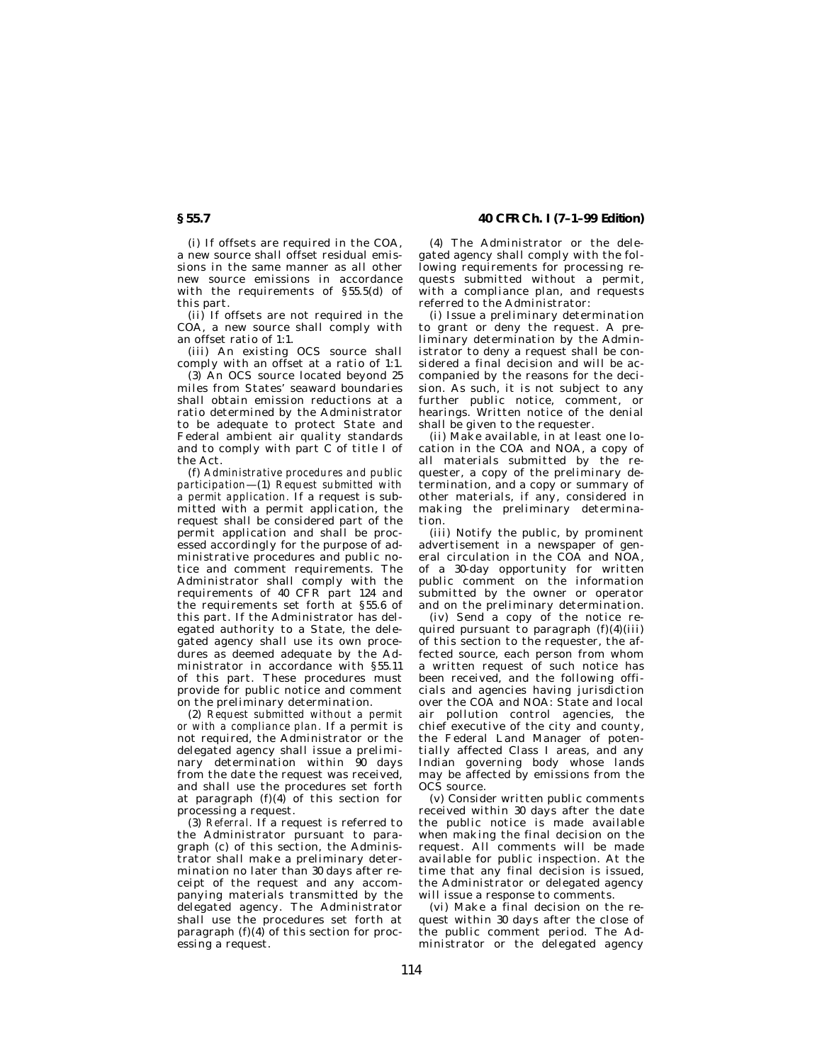(i) If offsets are required in the COA, a new source shall offset residual emissions in the same manner as all other new source emissions in accordance with the requirements of § 55.5(d) of this part.

(ii) If offsets are not required in the COA, a new source shall comply with an offset ratio of 1:1.

(iii) An existing OCS source shall comply with an offset at a ratio of 1:1.

(3) An OCS source located beyond 25 miles from States' seaward boundaries shall obtain emission reductions at a ratio determined by the Administrator to be adequate to protect State and Federal ambient air quality standards and to comply with part C of title I of the Act.

(f) *Administrative procedures and public participation*—(1) *Request submitted with a permit application.* If a request is submitted with a permit application, the request shall be considered part of the permit application and shall be processed accordingly for the purpose of administrative procedures and public notice and comment requirements. The Administrator shall comply with the requirements of 40 CFR part 124 and the requirements set forth at § 55.6 of this part. If the Administrator has delegated authority to a State, the delegated agency shall use its own procedures as deemed adequate by the Administrator in accordance with § 55.11 of this part. These procedures must provide for public notice and comment on the preliminary determination.

(2) *Request submitted without a permit or with a compliance plan.* If a permit is not required, the Administrator or the delegated agency shall issue a preliminary determination within 90 days from the date the request was received, and shall use the procedures set forth at paragraph  $(f)(4)$  of this section for processing a request.

(3) *Referral.* If a request is referred to the Administrator pursuant to paragraph (c) of this section, the Administrator shall make a preliminary determination no later than 30 days after receipt of the request and any accompanying materials transmitted by the delegated agency. The Administrator shall use the procedures set forth at paragraph  $(f)(4)$  of this section for processing a request.

(4) The Administrator or the delegated agency shall comply with the following requirements for processing requests submitted without a permit, with a compliance plan, and requests referred to the Administrator:

(i) Issue a preliminary determination to grant or deny the request. A preliminary determination by the Administrator to deny a request shall be considered a final decision and will be accompanied by the reasons for the decision. As such, it is not subject to any further public notice, comment, or hearings. Written notice of the denial shall be given to the requester.

(ii) Make available, in at least one location in the COA and NOA, a copy of all materials submitted by the requester, a copy of the preliminary determination, and a copy or summary of other materials, if any, considered in making the preliminary determination.

(iii) Notify the public, by prominent advertisement in a newspaper of general circulation in the  $\overrightarrow{COA}$  and  $\overrightarrow{NOA}$ . of a 30-day opportunity for written public comment on the information submitted by the owner or operator and on the preliminary determination.

(iv) Send a copy of the notice required pursuant to paragraph (f)(4)(iii) of this section to the requester, the affected source, each person from whom a written request of such notice has been received, and the following officials and agencies having jurisdiction over the COA and NOA: State and local air pollution control agencies, the chief executive of the city and county, the Federal Land Manager of potentially affected Class I areas, and any Indian governing body whose lands may be affected by emissions from the OCS source.

(v) Consider written public comments received within 30 days after the date the public notice is made available when making the final decision on the request. All comments will be made available for public inspection. At the time that any final decision is issued, the Administrator or delegated agency will issue a response to comments.

(vi) Make a final decision on the request within 30 days after the close of the public comment period. The Administrator or the delegated agency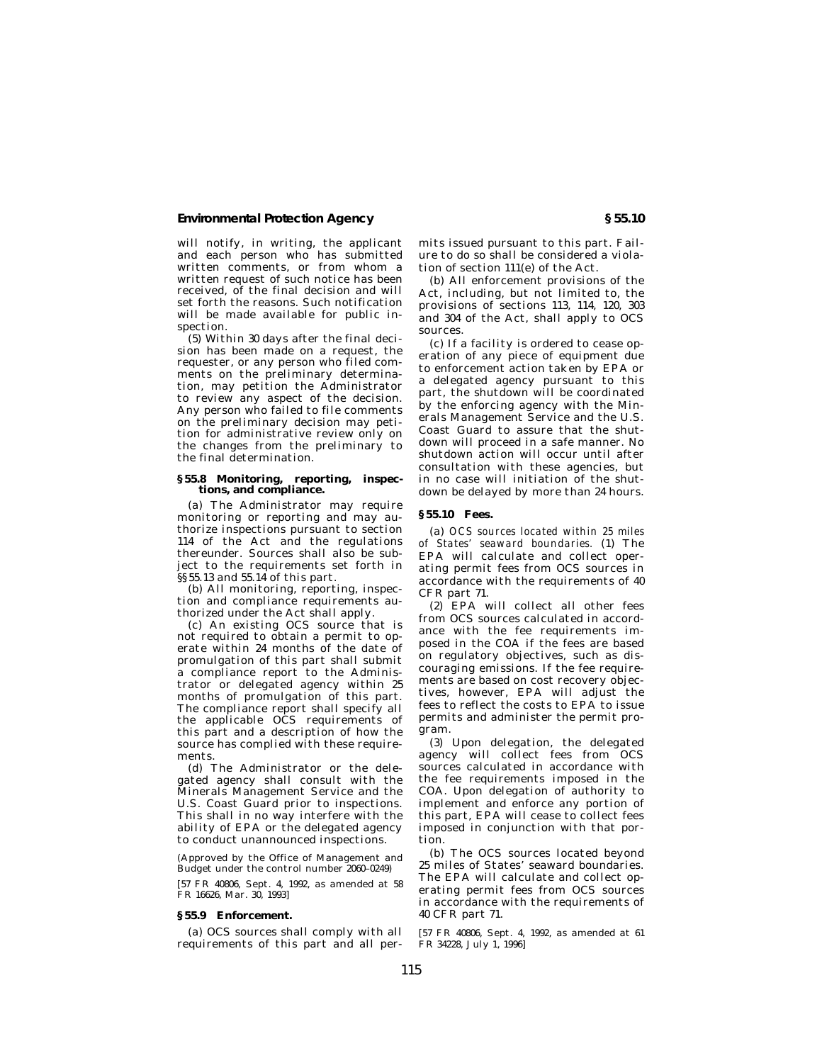will notify, in writing, the applicant and each person who has submitted written comments, or from whom a written request of such notice has been received, of the final decision and will set forth the reasons. Such notification will be made available for public inspection.

(5) Within 30 days after the final decision has been made on a request, the requester, or any person who filed comments on the preliminary determination, may petition the Administrator to review any aspect of the decision. Any person who failed to file comments on the preliminary decision may petition for administrative review only on the changes from the preliminary to the final determination.

# **§ 55.8 Monitoring, reporting, inspec- tions, and compliance.**

(a) The Administrator may require monitoring or reporting and may authorize inspections pursuant to section 114 of the Act and the regulations thereunder. Sources shall also be subject to the requirements set forth in §§ 55.13 and 55.14 of this part.

(b) All monitoring, reporting, inspection and compliance requirements authorized under the Act shall apply.

(c) An existing OCS source that is not required to obtain a permit to operate within 24 months of the date of promulgation of this part shall submit a compliance report to the Administrator or delegated agency within 25 months of promulgation of this part. The compliance report shall specify all the applicable OCS requirements of this part and a description of how the source has complied with these requirements.

(d) The Administrator or the delegated agency shall consult with the Minerals Management Service and the U.S. Coast Guard prior to inspections. This shall in no way interfere with the ability of EPA or the delegated agency to conduct unannounced inspections.

(Approved by the Office of Management and Budget under the control number 2060–0249)

[57 FR 40806, Sept. 4, 1992, as amended at 58 FR 16626, Mar. 30, 1993]

#### **§ 55.9 Enforcement.**

(a) OCS sources shall comply with all requirements of this part and all permits issued pursuant to this part. Failure to do so shall be considered a violation of section 111(e) of the Act.

(b) All enforcement provisions of the Act, including, but not limited to, the provisions of sections 113, 114, 120, 303 and 304 of the Act, shall apply to OCS sources.

(c) If a facility is ordered to cease operation of any piece of equipment due to enforcement action taken by EPA or a delegated agency pursuant to this part, the shutdown will be coordinated by the enforcing agency with the Minerals Management Service and the U.S. Coast Guard to assure that the shutdown will proceed in a safe manner. No shutdown action will occur until after consultation with these agencies, but in no case will initiation of the shutdown be delayed by more than 24 hours.

### **§ 55.10 Fees.**

(a) *OCS sources located within 25 miles of States' seaward boundaries.* (1) The EPA will calculate and collect operating permit fees from OCS sources in accordance with the requirements of 40 CFR part 71.

(2) EPA will collect all other fees from OCS sources calculated in accordance with the fee requirements imposed in the COA if the fees are based on regulatory objectives, such as discouraging emissions. If the fee requirements are based on cost recovery objectives, however, EPA will adjust the fees to reflect the costs to EPA to issue permits and administer the permit program.

(3) Upon delegation, the delegated agency will collect fees from OCS sources calculated in accordance with the fee requirements imposed in the COA. Upon delegation of authority to implement and enforce any portion of this part, EPA will cease to collect fees imposed in conjunction with that portion.

(b) The OCS sources located beyond 25 miles of States' seaward boundaries. The EPA will calculate and collect operating permit fees from OCS sources in accordance with the requirements of 40 CFR part 71.

[57 FR 40806, Sept. 4, 1992, as amended at 61 FR 34228, July 1, 1996]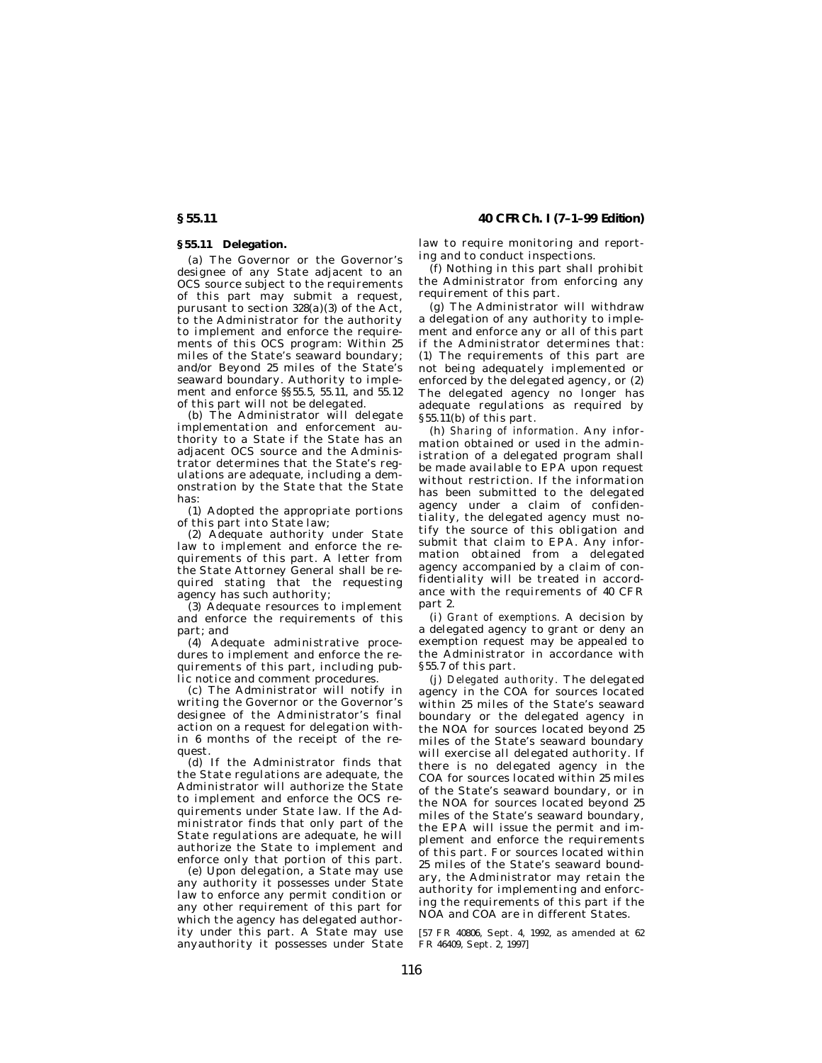# **§ 55.11 40 CFR Ch. I (7–1–99 Edition)**

**§ 55.11 Delegation.**

(a) The Governor or the Governor's designee of any State adjacent to an OCS source subject to the requirements of this part may submit a request, purusant to section 328(a)(3) of the Act, to the Administrator for the authority to implement and enforce the requirements of this OCS program: Within 25 miles of the State's seaward boundary; and/or Beyond 25 miles of the State's seaward boundary. Authority to implement and enforce §§ 55.5, 55.11, and 55.12 of this part will not be delegated.

(b) The Administrator will delegate implementation and enforcement authority to a State if the State has an adjacent OCS source and the Administrator determines that the State's regulations are adequate, including a demonstration by the State that the State has:

(1) Adopted the appropriate portions of this part into State law;

(2) Adequate authority under State law to implement and enforce the requirements of this part. A letter from the State Attorney General shall be required stating that the requesting agency has such authority;

(3) Adequate resources to implement and enforce the requirements of this part; and

(4) Adequate administrative procedures to implement and enforce the requirements of this part, including public notice and comment procedures.

(c) The Administrator will notify in writing the Governor or the Governor's designee of the Administrator's final action on a request for delegation within 6 months of the receipt of the request.

(d) If the Administrator finds that the State regulations are adequate, the Administrator will authorize the State to implement and enforce the OCS requirements under State law. If the Administrator finds that only part of the State regulations are adequate, he will authorize the State to implement and enforce only that portion of this part.

(e) Upon delegation, a State may use any authority it possesses under State law to enforce any permit condition or any other requirement of this part for which the agency has delegated authority under this part. A State may use anyauthority it possesses under State

law to require monitoring and reporting and to conduct inspections.

(f) Nothing in this part shall prohibit the Administrator from enforcing any requirement of this part.

(g) The Administrator will withdraw a delegation of any authority to implement and enforce any or all of this part if the Administrator determines that: (1) The requirements of this part are not being adequately implemented or enforced by the delegated agency, or (2) The delegated agency no longer has adequate regulations as required by §55.11(b) of this part.

(h) *Sharing of information.* Any information obtained or used in the administration of a delegated program shall be made available to EPA upon request without restriction. If the information has been submitted to the delegated agency under a claim of confidentiality, the delegated agency must notify the source of this obligation and submit that claim to EPA. Any information obtained from a delegated agency accompanied by a claim of confidentiality will be treated in accordance with the requirements of 40 CFR part 2.

(i) *Grant of exemptions.* A decision by a delegated agency to grant or deny an exemption request may be appealed to the Administrator in accordance with §55.7 of this part.

(j) *Delegated authority.* The delegated agency in the COA for sources located within 25 miles of the State's seaward boundary or the delegated agency in the NOA for sources located beyond 25 miles of the State's seaward boundary will exercise all delegated authority. If there is no delegated agency in the COA for sources located within 25 miles of the State's seaward boundary, or in the NOA for sources located beyond 25 miles of the State's seaward boundary, the EPA will issue the permit and implement and enforce the requirements of this part. For sources located within 25 miles of the State's seaward boundary, the Administrator may retain the authority for implementing and enforcing the requirements of this part if the NOA and COA are in different States.

[57 FR 40806, Sept. 4, 1992, as amended at 62 FR 46409, Sept. 2, 1997]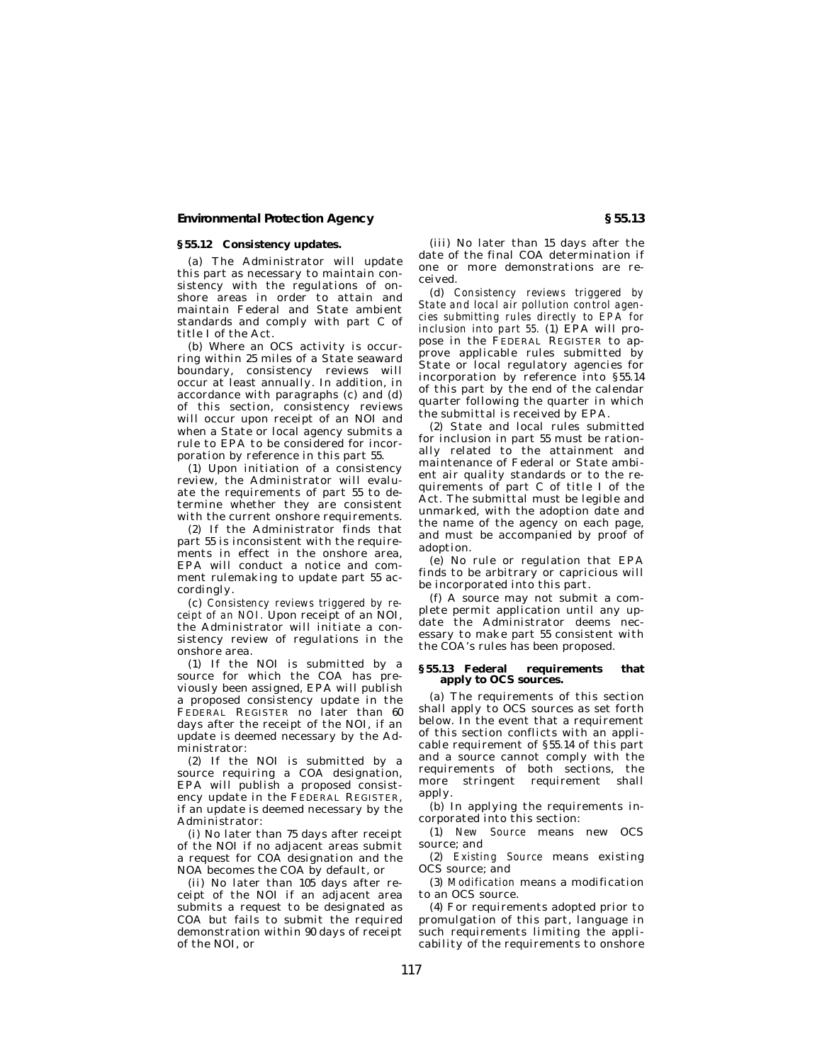### **§ 55.12 Consistency updates.**

(a) The Administrator will update this part as necessary to maintain consistency with the regulations of onshore areas in order to attain and maintain Federal and State ambient standards and comply with part C of title I of the Act.

(b) Where an OCS activity is occurring within 25 miles of a State seaward boundary, consistency reviews will occur at least annually. In addition, in accordance with paragraphs (c) and (d) of this section, consistency reviews will occur upon receipt of an NOI and when a State or local agency submits a rule to EPA to be considered for incorporation by reference in this part 55.

(1) Upon initiation of a consistency review, the Administrator will evaluate the requirements of part 55 to determine whether they are consistent with the current onshore requirements.

(2) If the Administrator finds that part 55 is inconsistent with the requirements in effect in the onshore area, EPA will conduct a notice and comment rulemaking to update part 55 accordingly.

(c) *Consistency reviews triggered by receipt of an NOI.* Upon receipt of an NOI, the Administrator will initiate a consistency review of regulations in the onshore area.

(1) If the NOI is submitted by a source for which the COA has previously been assigned, EPA will publish a proposed consistency update in the FEDERAL REGISTER no later than 60 days after the receipt of the NOI, if an update is deemed necessary by the Administrator:

(2) If the NOI is submitted by a source requiring a COA designation, EPA will publish a proposed consistency update in the FEDERAL REGISTER, if an update is deemed necessary by the Administrator:

(i) No later than 75 days after receipt of the NOI if no adjacent areas submit a request for COA designation and the NOA becomes the COA by default, or

(ii) No later than 105 days after receipt of the NOI if an adjacent area submits a request to be designated as COA but fails to submit the required demonstration within 90 days of receipt of the NOI, or

(iii) No later than 15 days after the date of the final COA determination if one or more demonstrations are received.

(d) *Consistency reviews triggered by State and local air pollution control agencies submitting rules directly to EPA for inclusion into part 55.* (1) EPA will propose in the FEDERAL REGISTER to approve applicable rules submitted by State or local regulatory agencies for incorporation by reference into § 55.14 of this part by the end of the calendar quarter following the quarter in which the submittal is received by EPA.

(2) State and local rules submitted for inclusion in part 55 must be rationally related to the attainment and maintenance of Federal or State ambient air quality standards or to the requirements of part C of title I of the Act. The submittal must be legible and unmarked, with the adoption date and the name of the agency on each page, and must be accompanied by proof of adoption.

(e) No rule or regulation that EPA finds to be arbitrary or capricious will be incorporated into this part.

(f) A source may not submit a complete permit application until any update the Administrator deems necessary to make part 55 consistent with the COA's rules has been proposed.

#### **§ 55.13 Federal requirements that apply to OCS sources.**

(a) The requirements of this section shall apply to OCS sources as set forth below. In the event that a requirement of this section conflicts with an applicable requirement of § 55.14 of this part and a source cannot comply with the requirements of both sections, the more stringent requirement shall apply.

(b) In applying the requirements incorporated into this section:

(1) *New Source* means new OCS source; and

(2) *Existing Source* means existing OCS source; and

(3) *Modification* means a modification to an OCS source.

(4) For requirements adopted prior to promulgation of this part, language in such requirements limiting the applicability of the requirements to onshore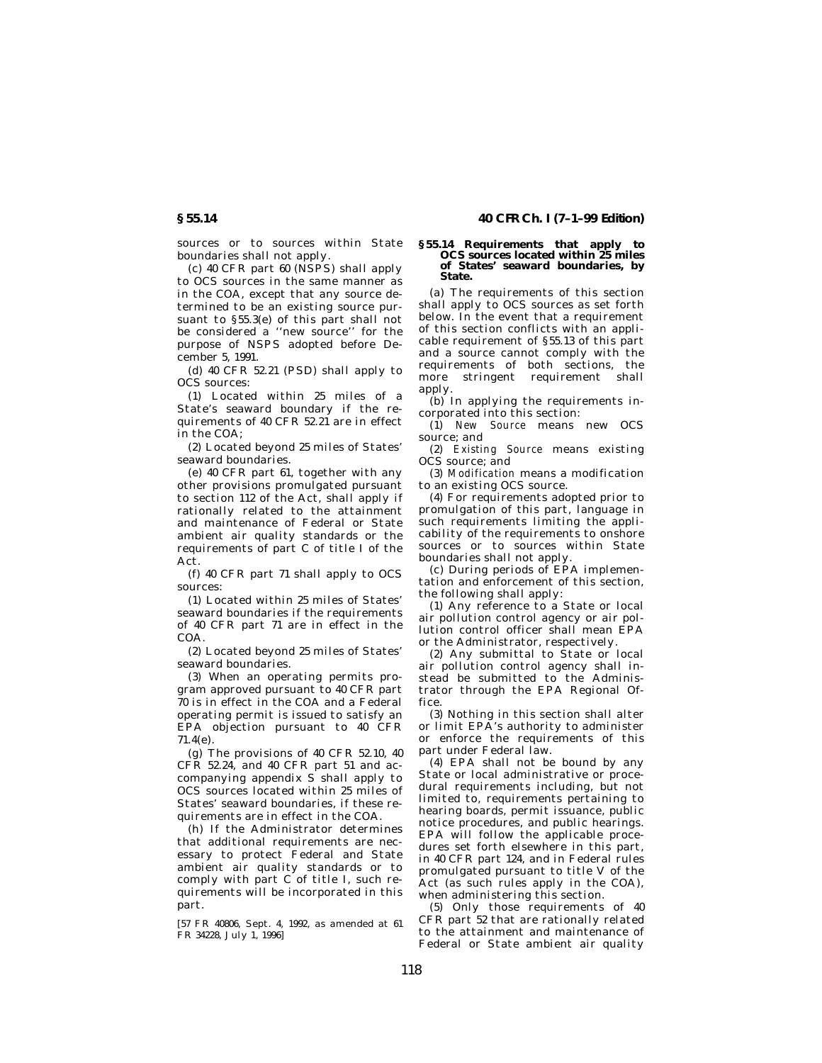sources or to sources within State boundaries shall not apply.

(c) 40 CFR part 60 (NSPS) shall apply to OCS sources in the same manner as in the COA, except that any source determined to be an existing source pursuant to § 55.3(e) of this part shall not be considered a ''new source'' for the purpose of NSPS adopted before December 5, 1991.

(d) 40 CFR 52.21 (PSD) shall apply to OCS sources:

(1) Located within 25 miles of a State's seaward boundary if the requirements of 40 CFR 52.21 are in effect in the COA;

(2) Located beyond 25 miles of States' seaward boundaries.

(e) 40 CFR part 61, together with any other provisions promulgated pursuant to section 112 of the Act, shall apply if rationally related to the attainment and maintenance of Federal or State ambient air quality standards or the requirements of part C of title I of the Act.

(f) 40 CFR part 71 shall apply to OCS sources:

(1) Located within 25 miles of States' seaward boundaries if the requirements of 40 CFR part 71 are in effect in the COA.

(2) Located beyond 25 miles of States' seaward boundaries.

(3) When an operating permits program approved pursuant to 40 CFR part 70 is in effect in the COA and a Federal operating permit is issued to satisfy an EPA objection pursuant to 40 CFR 71.4(e).

(g) The provisions of 40 CFR 52.10, 40 CFR 52.24, and 40 CFR part 51 and accompanying appendix S shall apply to OCS sources located within 25 miles of States' seaward boundaries, if these requirements are in effect in the COA.

(h) If the Administrator determines that additional requirements are necessary to protect Federal and State ambient air quality standards or to comply with part C of title I, such requirements will be incorporated in this part.

[57 FR 40806, Sept. 4, 1992, as amended at 61 FR 34228, July 1, 1996]

#### **§ 55.14 Requirements that apply to OCS sources located within 25 miles of States' seaward boundaries, by State.**

(a) The requirements of this section shall apply to OCS sources as set forth below. In the event that a requirement of this section conflicts with an applicable requirement of § 55.13 of this part and a source cannot comply with the requirements of both sections, the more stringent requirement shall apply.

(b) In applying the requirements incorporated into this section:

(1) *New Source* means new OCS source; and

(2) *Existing Source* means existing OCS source; and

(3) *Modification* means a modification to an existing OCS source.

(4) For requirements adopted prior to promulgation of this part, language in such requirements limiting the applicability of the requirements to onshore sources or to sources within State boundaries shall not apply.

(c) During periods of EPA implementation and enforcement of this section, the following shall apply:

(1) Any reference to a State or local air pollution control agency or air pollution control officer shall mean EPA or the Administrator, respectively.

(2) Any submittal to State or local air pollution control agency shall instead be submitted to the Administrator through the EPA Regional Office.

(3) Nothing in this section shall alter or limit EPA's authority to administer or enforce the requirements of this part under Federal law.

(4) EPA shall not be bound by any State or local administrative or procedural requirements including, but not limited to, requirements pertaining to hearing boards, permit issuance, public notice procedures, and public hearings. EPA will follow the applicable procedures set forth elsewhere in this part, in 40 CFR part 124, and in Federal rules promulgated pursuant to title V of the Act (as such rules apply in the COA), when administering this section.

(5) Only those requirements of 40 CFR part 52 that are rationally related to the attainment and maintenance of Federal or State ambient air quality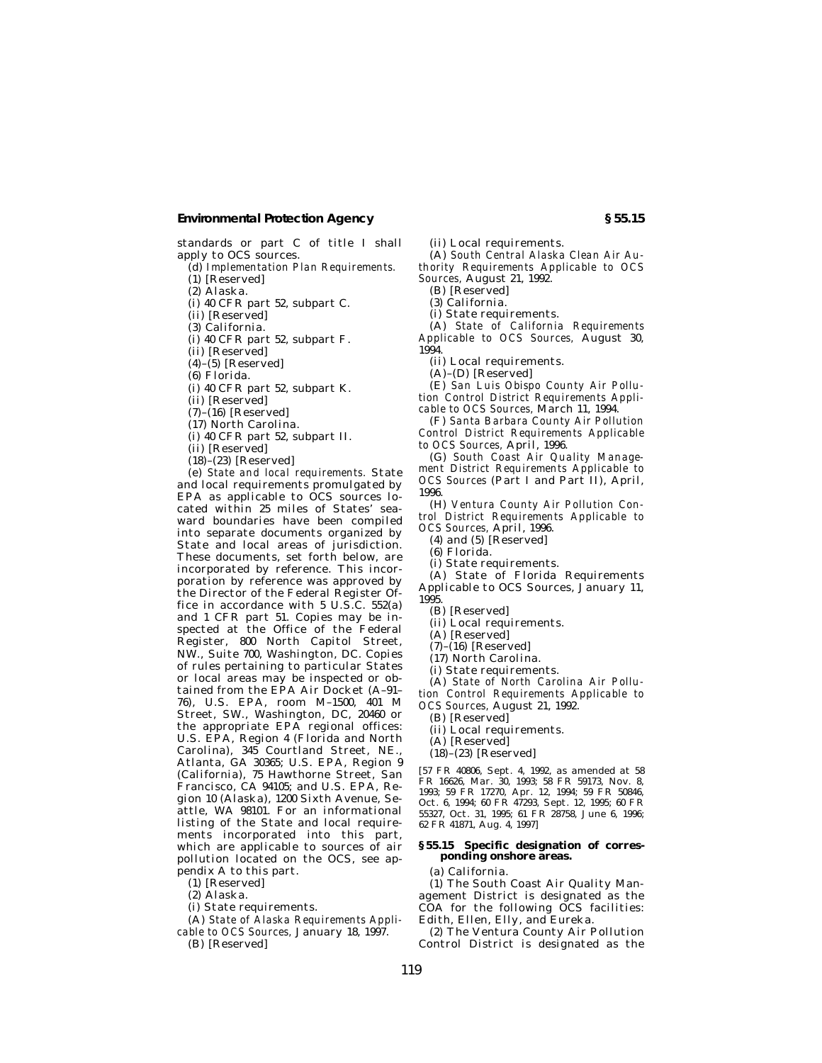standards or part C of title I shall apply to OCS sources.

(d) *Implementation Plan Requirements.*

(1) [Reserved]

(2) Alaska.

(i) 40 CFR part 52, subpart C.

(ii) [Reserved]

(3) California.

(i) 40 CFR part 52, subpart F.

(ii) [Reserved]

 $(4)$ – $(5)$  [Reserved]

(6) Florida.

(i) 40 CFR part 52, subpart K.

(ii) [Reserved]

(7)–(16) [Reserved]

(17) North Carolina.

(i) 40 CFR part 52, subpart II.

(ii) [Reserved]

(18)–(23) [Reserved]

(e) *State and local requirements.* State and local requirements promulgated by EPA as applicable to OCS sources located within 25 miles of States' seaward boundaries have been compiled into separate documents organized by State and local areas of jurisdiction. These documents, set forth below, are incorporated by reference. This incorporation by reference was approved by the Director of the Federal Register Office in accordance with  $5$  U.S.C.  $552(a)$ and 1 CFR part 51. Copies may be inspected at the Office of the Federal Register, 800 North Capitol Street, NW., Suite 700, Washington, DC. Copies of rules pertaining to particular States or local areas may be inspected or obtained from the EPA Air Docket (A–91– 76), U.S. EPA, room M–1500, 401 M Street, SW., Washington, DC, 20460 or the appropriate EPA regional offices: U.S. EPA, Region 4 (Florida and North Carolina), 345 Courtland Street, NE., Atlanta, GA 30365; U.S. EPA, Region 9 (California), 75 Hawthorne Street, San Francisco, CA 94105; and U.S. EPA, Region 10 (Alaska), 1200 Sixth Avenue, Seattle, WA 98101. For an informational listing of the State and local requirements incorporated into this part, which are applicable to sources of air pollution located on the OCS, see appendix A to this part.

(1) [Reserved]

(2) Alaska.

(i) State requirements.

(A) *State of Alaska Requirements Applicable to OCS Sources,* January 18, 1997.

(B) [Reserved]

(ii) Local requirements. (A) *South Central Alaska Clean Air Au-*

*thority Requirements Applicable to OCS Sources,* August 21, 1992.

(B) [Reserved]

(3) California.

(i) State requirements.

(A) *State of California Requirements Applicable to OCS Sources,* August 30, 1994.

(ii) Local requirements.

(A)–(D) [Reserved]

(E) *San Luis Obispo County Air Pollution Control District Requirements Applicable to OCS Sources,* March 11, 1994.

(F) *Santa Barbara County Air Pollution Control District Requirements Applicable to OCS Sources,* April, 1996.

(G) *South Coast Air Quality Management District Requirements Applicable to OCS Sources* (Part I and Part II), April, 1996.

(H) *Ventura County Air Pollution Control District Requirements Applicable to*

*OCS Sources,* April, 1996. (4) and (5) [Reserved]

(6) Florida.

(i) State requirements.

(A) State of Florida Requirements Applicable to OCS Sources, January 11, 1995.

(B) [Reserved]

(ii) Local requirements.

(A) [Reserved]

(7)–(16) [Reserved]

(17) North Carolina.

(i) State requirements.

(A) *State of North Carolina Air Pollution Control Requirements Applicable to*

*OCS Sources,* August 21, 1992.

(B) [Reserved]

(ii) Local requirements.

(A) [Reserved]

(18)–(23) [Reserved]

[57 FR 40806, Sept. 4, 1992, as amended at 58 FR 16626, Mar. 30, 1993; 58 FR 59173, Nov. 8, 1993; 59 FR 17270, Apr. 12, 1994; 59 FR 50846, Oct. 6, 1994; 60 FR 47293, Sept. 12, 1995; 60 FR 55327, Oct. 31, 1995; 61 FR 28758, June 6, 1996; 62 FR 41871, Aug. 4, 1997]

# **§ 55.15 Specific designation of corresponding onshore areas.**

(a) California.

(1) The South Coast Air Quality Management District is designated as the COA for the following OCS facilities: Edith, Ellen, Elly, and Eureka.

(2) The Ventura County Air Pollution Control District is designated as the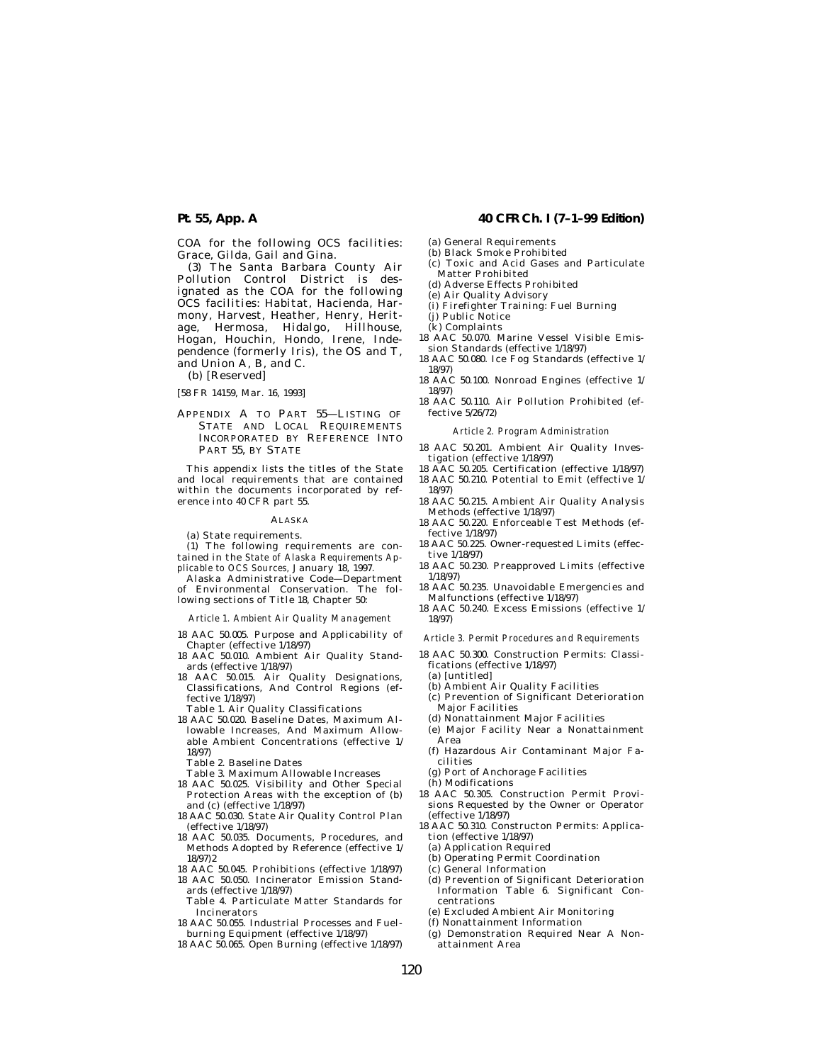COA for the following OCS facilities: Grace, Gilda, Gail and Gina.

(3) The Santa Barbara County Air Pollution Control District is designated as the COA for the following OCS facilities: Habitat, Hacienda, Harmony, Harvest, Heather, Henry, Heritage, Hermosa, Hidalgo, Hillhouse, Hogan, Houchin, Hondo, Irene, Independence (formerly Iris), the OS and T, and Union A, B, and C.

(b) [Reserved]

[58 FR 14159, Mar. 16, 1993]

APPENDIX A TO PART 55—LISTING OF STATE AND LOCAL REQUIREMENTS INCORPORATED BY REFERENCE INTO PART 55, BY STATE

This appendix lists the titles of the State and local requirements that are contained within the documents incorporated by reference into 40 CFR part 55.

#### ALASKA

(a) State requirements.

(1) The following requirements are contained in the *State of Alaska Requirements Applicable to OCS Sources,* January 18, 1997. Alaska Administrative Code—Department

of Environmental Conservation. The following sections of Title 18, Chapter 50:

*Article 1. Ambient Air Quality Management*

- 18 AAC 50.005. Purpose and Applicability of Chapter (effective 1/18/97)
- 18 AAC 50.010. Ambient Air Quality Standards (effective 1/18/97)
- 18 AAC 50.015. Air Quality Designations, Classifications, And Control Regions (effective 1/18/97)

Table 1. Air Quality Classifications

- 18 AAC 50.020. Baseline Dates, Maximum Allowable Increases, And Maximum Allowable Ambient Concentrations (effective 1/ 18/97)
- Table 2. Baseline Dates
- Table 3. Maximum Allowable Increases 18 AAC 50.025. Visibility and Other Special
- Protection Areas with the exception of (b) and (c) (effective 1/18/97)
- 18 AAC 50.030. State Air Quality Control Plan (effective 1/18/97)
- 18 AAC 50.035. Documents, Procedures, and Methods Adopted by Reference (effective 1/ 18/97)2
- 18 AAC 50.045. Prohibitions (effective 1/18/97)
- 18 AAC 50.050. Incinerator Emission Standards (effective 1/18/97)
- Table 4. Particulate Matter Standards for Incinerators
- 18 AAC 50.055. Industrial Processes and Fuelburning Equipment (effective 1/18/97)
- 18 AAC 50.065. Open Burning (effective 1/18/97)

# **Pt. 55, App. A 40 CFR Ch. I (7–1–99 Edition)**

- (a) General Requirements
- (b) Black Smoke Prohibited
- (c) Toxic and Acid Gases and Particulate Matter Prohibited
- (d) Adverse Effects Prohibited
- (e) Air Quality Advisory (i) Firefighter Training: Fuel Burning
- (j) Public Notice
- (k) Complaints
- 18 AAC 50.070. Marine Vessel Visible Emission Standards (effective 1/18/97)
- 18 AAC 50.080. Ice Fog Standards (effective 1/ 18/97)
- 18 AAC 50.100. Nonroad Engines (effective 1/ 18/97)
- 18 AAC 50.110. Air Pollution Prohibited (effective 5/26/72)

*Article 2. Program Administration*

- 18 AAC 50.201. Ambient Air Quality Investigation (effective 1/18/97)
- 18 AAC 50.205. Certification (effective 1/18/97)
- 18 AAC 50.210. Potential to Emit (effective 1/ 18/97)
- 18 AAC 50.215. Ambient Air Quality Analysis Methods (effective 1/18/97)
- 18 AAC 50.220. Enforceable Test Methods (effective 1/18/97)
- 18 AAC 50.225. Owner-requested Limits (effective 1/18/97)
- 18 AAC 50.230. Preapproved Limits (effective 1/18/97)
- 18 AAC 50.235. Unavoidable Emergencies and Malfunctions (effective 1/18/97)
- 18 AAC 50.240. Excess Emissions (effective 1/ 18/97)

*Article 3. Permit Procedures and Requirements*

- 18 AAC 50.300. Construction Permits: Classifications (effective 1/18/97)
	- (a) [untitled]
	- (b) Ambient Air Quality Facilities
- (c) Prevention of Significant Deterioration Major Facilities
- (d) Nonattainment Major Facilities
- (e) Major Facility Near a Nonattainment Area
- (f) Hazardous Air Contaminant Major Facilities
- (g) Port of Anchorage Facilities (h) Modifications
- 
- 18 AAC 50.305. Construction Permit Provisions Requested by the Owner or Operator (effective 1/18/97)
- 18 AAC 50.310. Constructon Permits: Application (effective 1/18/97)
	- (a) Application Required
	- (b) Operating Permit Coordination
	- (c) General Information
- (d) Prevention of Significant Deterioration Information Table 6. Significant Concentrations
- (e) Excluded Ambient Air Monitoring
- (f) Nonattainment Information
- (g) Demonstration Required Near A Nonattainment Area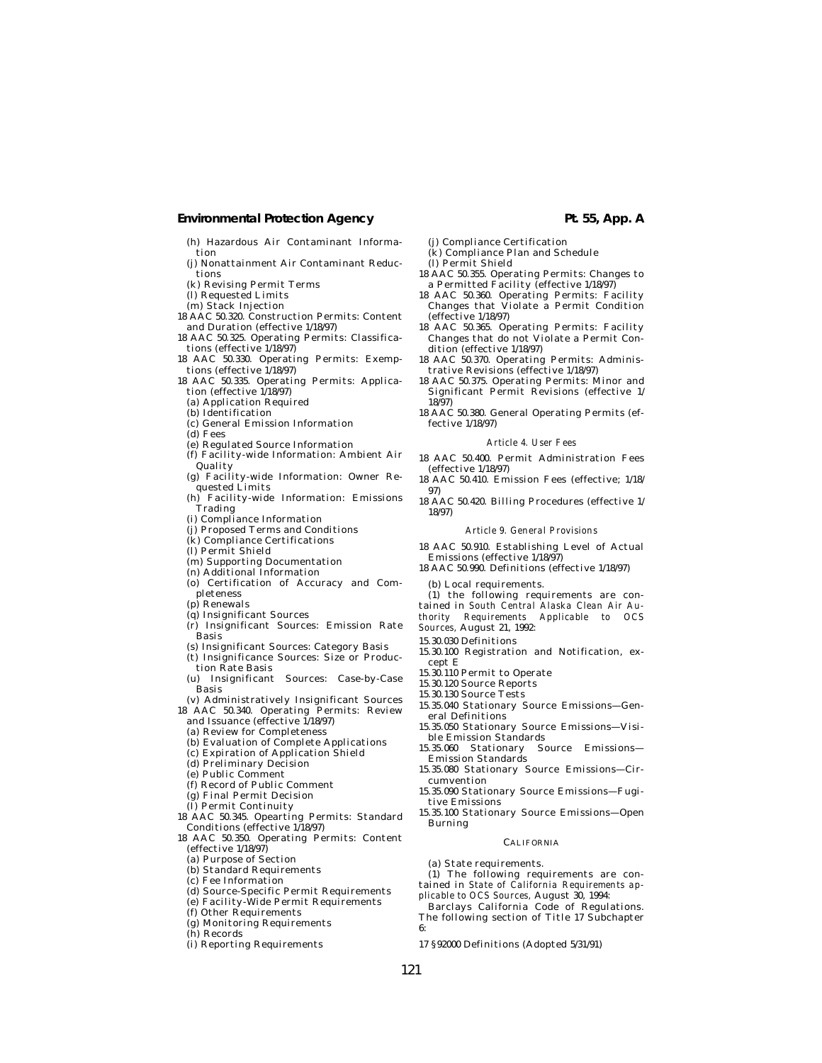# **Environmental Protection Agency Pt. 55, App. A**

- (h) Hazardous Air Contaminant Information
- (j) Nonattainment Air Contaminant Reductions
- (k) Revising Permit Terms
- (l) Requested Limits
- (m) Stack Injection
- 18 AAC 50.320. Construction Permits: Content and Duration (effective 1/18/97)
- 18 AAC 50.325. Operating Permits: Classifica-
- tions (effective 1/18/97) 18 AAC 50.330. Operating Permits: Exemptions (effective  $1/18/97$ )
- 18 AAC 50.335. Operating Permits: Application (effective 1/18/97)
- (a) Application Required
- (b) Identification
- (c) General Emission Information
- $(d)$  Fees
- (e) Regulated Source Information
- (f) Facility-wide Information: Ambient Air **Quality**
- (g) Facility-wide Information: Owner Requested Limits
- (h) Facility-wide Information: Emissions Trading
- (i) Compliance Information
- (j) Proposed Terms and Conditions
- (k) Compliance Certifications
- (l) Permit Shield
- (m) Supporting Documentation
- (n) Additional Information
- (o) Certification of Accuracy and Completeness
- (p) Renewals
- (q) Insignificant Sources
- (r) Insignificant Sources: Emission Rate Basis
- (s) Insignificant Sources: Category Basis
- (t) Insignificance Sources: Size or Production Rate Basis
- (u) Insignificant Sources: Case-by-Case Basis
- (v) Administratively Insignificant Sources 18 AAC 50.340. Operating Permits: Review
- and Issuance (effective 1/18/97)
- (a) Review for Completeness
- (b) Evaluation of Complete Applications (c) Expiration of Application Shield
- (d) Preliminary Decision
- (e) Public Comment
- (f) Record of Public Comment
- 
- (g) Final Permit Decision (I) Permit Continuity
- 18 AAC 50.345. Opearting Permits: Standard Conditions (effective 1/18/97)
- 18 AAC 50.350. Operating Permits: Content (effective 1/18/97)
- (a) Purpose of Section
- (b) Standard Requirements
- (c) Fee Information
- 
- (d) Source-Specific Permit Requirements (e) Facility-Wide Permit Requirements
- (f) Other Requirements
- (g) Monitoring Requirements
- (h) Records
- (i) Reporting Requirements
- (j) Compliance Certification (k) Compliance Plan and Schedule
- (l) Permit Shield
- 18 AAC 50.355. Operating Permits: Changes to a Permitted Facility (effective 1/18/97)
- 18 AAC 50.360. Operating Permits: Facility Changes that Violate a Permit Condition (effective 1/18/97)
- 18 AAC 50.365. Operating Permits: Facility Changes that do not Violate a Permit Condition (effective 1/18/97)
- 18 AAC 50.370. Operating Permits: Administrative Revisions (effective 1/18/97)
- 18 AAC 50.375. Operating Permits: Minor and Significant Permit Revisions (effective 1/ 18/97)
- 18 AAC 50.380. General Operating Permits (effective 1/18/97)

#### *Article 4. User Fees*

- 18 AAC 50.400. Permit Administration Fees (effective 1/18/97)
- 18 AAC 50.410. Emission Fees (effective; 1/18/ 97)
- 18 AAC 50.420. Billing Procedures (effective 1/ 18/97)

#### *Article 9. General Provisions*

18 AAC 50.910. Establishing Level of Actual Emissions (effective 1/18/97)

18 AAC 50.990. Definitions (effective 1/18/97)

(b) Local requirements.

(1) the following requirements are contained in *South Central Alaska Clean Air Authority Requirements Applicable to OCS*

- *Sources,* August 21, 1992:
- 15.30.030 Definitions
- 15.30.100 Registration and Notification, except E
- 15.30.110 Permit to Operate

15.30.120 Source Reports

- 15.30.130 Source Tests
- 15.35.040 Stationary Source Emissions—General Definitions
- 15.35.050 Stationary Source Emissions—Visible Emission Standards
- 15.35.060 Stationary Source Emissions— Emission Standards
- 15.35.080 Stationary Source Emissions—Circumvention 15.35.090 Stationary Source Emissions—Fugi-
- tive Emissions
- 15.35.100 Stationary Source Emissions—Open Burning

#### CALIFORNIA

(a) State requirements. (1) The following requirements are contained in *State of California Requirements ap-*

*plicable to OCS Sources,* August 30, 1994: Barclays California Code of Regulations.

The following section of Title 17 Subchapter  $6 -$ 

17 § 92000 Definitions (Adopted 5/31/91)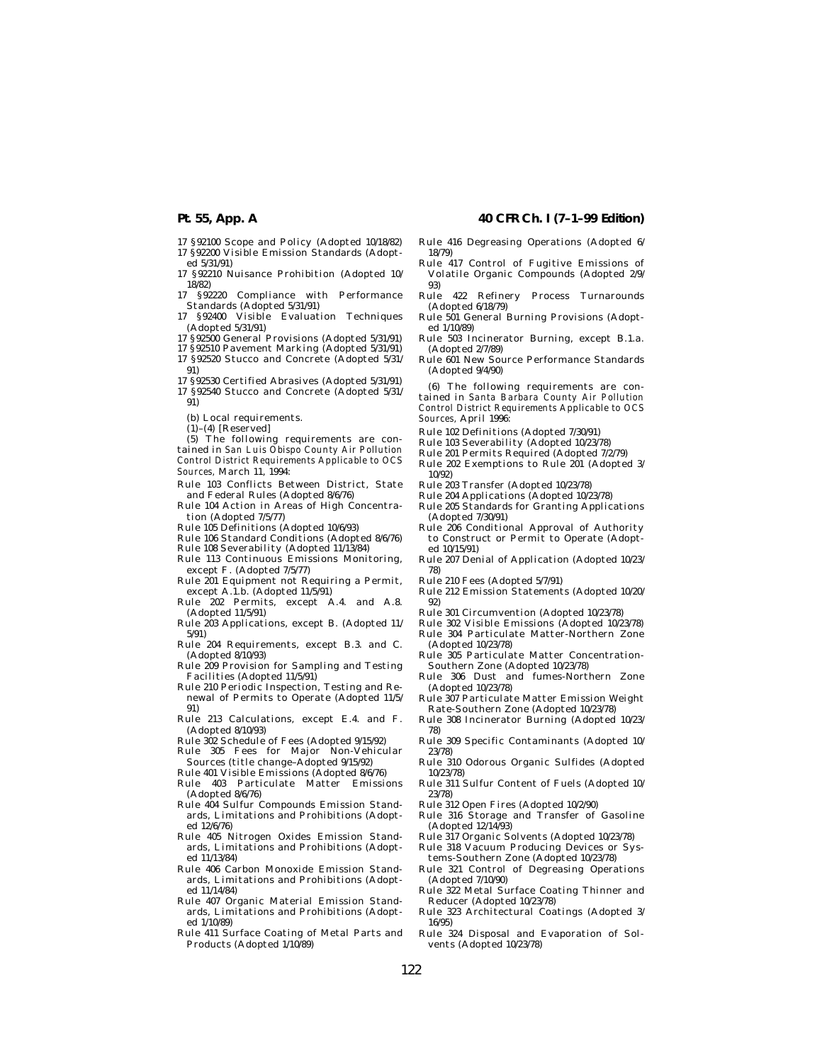**Pt. 55, App. A 40 CFR Ch. I (7–1–99 Edition)**

17 § 92100 Scope and Policy (Adopted 10/18/82) 17 § 92200 Visible Emission Standards (Adopted 5/31/91)

17 § 92210 Nuisance Prohibition (Adopted 10/  $18/82$ <br>17 § 92220

Compliance with Performance Standards (Adopted 5/31/91) 17 § 92400 Visible Evaluation Techniques

(Adopted 5/31/91)

17 § 92500 General Provisions (Adopted 5/31/91)

17 § 92510 Pavement Marking (Adopted 5/31/91)

17 § 92520 Stucco and Concrete (Adopted 5/31/ 91)

17 § 92530 Certified Abrasives (Adopted 5/31/91) 17 § 92540 Stucco and Concrete (Adopted 5/31/

91)

(b) Local requirements.

(1)–(4) [Reserved]

(5) The following requirements are contained in *San Luis Obispo County Air Pollution Control District Requirements Applicable to OCS Sources,* March 11, 1994:

Rule 103 Conflicts Between District, State

and Federal Rules (Adopted 8/6/76) Rule 104 Action in Areas of High Concentra-

tion (Adopted 7/5/77) Rule 105 Definitions (Adopted 10/6/93)

Rule 106 Standard Conditions (Adopted 8/6/76)

Rule 108 Severability (Adopted 11/13/84)

Rule 113 Continuous Emissions Monitoring, except F. (Adopted 7/5/77)

- Rule 201 Equipment not Requiring a Permit, except A.1.b. (Adopted 11/5/91)
- Rule 202 Permits, except A.4. and A.8. (Adopted 11/5/91)

Rule 203 Applications, except B. (Adopted 11/ 5/91)

Rule 204 Requirements, except B.3. and C. (Adopted 8/10/93)

Rule 209 Provision for Sampling and Testing Facilities (Adopted 11/5/91)

- Rule 210 Periodic Inspection, Testing and Renewal of Permits to Operate (Adopted 11/5/ 91)
- Rule 213 Calculations, except E.4. and F. (Adopted 8/10/93)

Rule 302 Schedule of Fees (Adopted 9/15/92)

Rule 305 Fees for Major Non-Vehicular Sources (title change–Adopted 9/15/92)

Rule 401 Visible Emissions (Adopted 8/6/76)

Rule 403 Particulate Matter Emissions (Adopted 8/6/76)

- Rule 404 Sulfur Compounds Emission Standards, Limitations and Prohibitions (Adopted 12/6/76)
- Rule 405 Nitrogen Oxides Emission Standards, Limitations and Prohibitions (Adopted 11/13/84)
- Rule 406 Carbon Monoxide Emission Standards, Limitations and Prohibitions (Adopted 11/14/84)
- Rule 407 Organic Material Emission Standards, Limitations and Prohibitions (Adopted 1/10/89)
- Rule 411 Surface Coating of Metal Parts and Products (Adopted 1/10/89)

Rule 416 Degreasing Operations (Adopted 6/ 18/79)

- Rule 417 Control of Fugitive Emissions of Volatile Organic Compounds (Adopted 2/9/ 93)
- Rule 422 Refinery Process Turnarounds (Adopted 6/18/79)
- Rule 501 General Burning Provisions (Adopted 1/10/89)
- Rule 503 Incinerator Burning, except B.1.a. (Adopted 2/7/89)
- Rule 601 New Source Performance Standards (Adopted 9/4/90)

(6) The following requirements are contained in *Santa Barbara County Air Pollution Control District Requirements Applicable to OCS Sources,* April 1996:

- Rule 102 Definitions (Adopted 7/30/91)
- Rule 103 Severability (Adopted 10/23/78)
- Rule 201 Permits Required (Adopted 7/2/79)
- Rule 202 Exemptions to Rule 201 (Adopted 3/ 10/92)
- Rule 203 Transfer (Adopted 10/23/78)
- Rule 204 Applications (Adopted 10/23/78)
- Rule 205 Standards for Granting Applications (Adopted 7/30/91)
- Rule 206 Conditional Approval of Authority to Construct or Permit to Operate (Adopted 10/15/91)
- Rule 207 Denial of Application (Adopted 10/23/ 78)
- 
- Rule 210 Fees (Adopted 5/7/91) Rule 212 Emission Statements (Adopted 10/20/ 92)
- Rule 301 Circumvention (Adopted 10/23/78)
- Rule 302 Visible Emissions (Adopted 10/23/78)
- Rule 304 Particulate Matter-Northern Zone (Adopted 10/23/78)
- Rule 305 Particulate Matter Concentration-Southern Zone (Adopted 10/23/78)
- Rule 306 Dust and fumes-Northern Zone (Adopted 10/23/78)
- Rule 307 Particulate Matter Emission Weight Rate-Southern Zone (Adopted 10/23/78)
- Rule 308 Incinerator Burning (Adopted 10/23/ 78)
- Rule 309 Specific Contaminants (Adopted 10/ 23/78)
- Rule 310 Odorous Organic Sulfides (Adopted 10/23/78)
- Rule 311 Sulfur Content of Fuels (Adopted 10/ 23/78)
- Rule 312 Open Fires (Adopted 10/2/90)
- Rule 316 Storage and Transfer of Gasoline (Adopted 12/14/93)
- Rule 317 Organic Solvents (Adopted 10/23/78) Rule 318 Vacuum Producing Devices or Systems-Southern Zone (Adopted 10/23/78)
- Rule 321 Control of Degreasing Operations (Adopted 7/10/90)
- Rule 322 Metal Surface Coating Thinner and Reducer (Adopted 10/23/78)
- Rule 323 Architectural Coatings (Adopted 3/ 16/95)
- Rule 324 Disposal and Evaporation of Solvents (Adopted 10/23/78)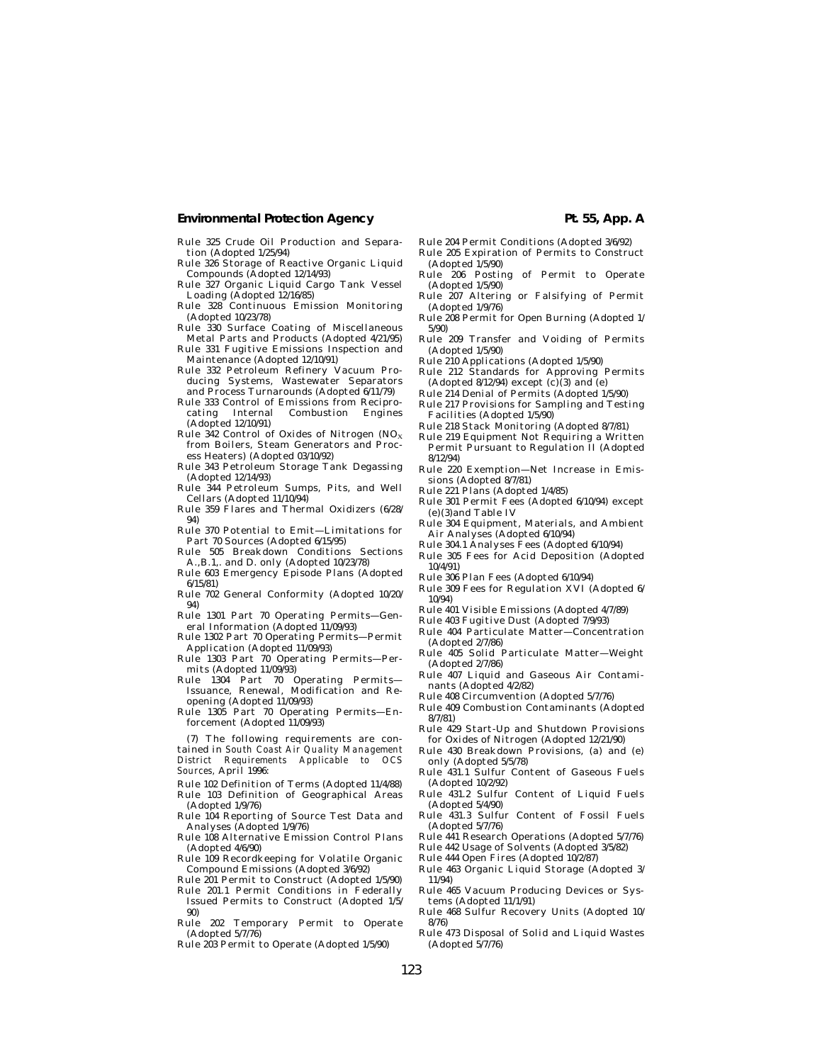# **Environmental Protection Agency Pt. 55, App. A**

- Rule 325 Crude Oil Production and Separation (Adopted 1/25/94)
- Rule 326 Storage of Reactive Organic Liquid Compounds (Adopted 12/14/93)
- Rule 327 Organic Liquid Cargo Tank Vessel Loading (Adopted 12/16/85)
- Rule 328 Continuous Emission Monitoring (Adopted 10/23/78)
- Rule 330 Surface Coating of Miscellaneous Metal Parts and Products (Adopted 4/21/95) Rule 331 Fugitive Emissions Inspection and
- Maintenance (Adopted 12/10/91)
- Rule 332 Petroleum Refinery Vacuum Producing Systems, Wastewater Separators and Process Turnarounds (Adopted 6/11/79)
- Rule 333 Control of Emissions from Reciprocating Internal Combustion Engines (Adopted 12/10/91)
- Rule  $342$  Control of Oxides of Nitrogen (NO<sub>X</sub> from Boilers, Steam Generators and Process Heaters) (Adopted 03/10/92)
- Rule 343 Petroleum Storage Tank Degassing (Adopted 12/14/93)

Rule 344 Petroleum Sumps, Pits, and Well Cellars (Adopted 11/10/94)

- Rule 359 Flares and Thermal Oxidizers (6/28/ 94)
- Rule 370 Potential to Emit—Limitations for Part 70 Sources (Adopted 6/15/95)
- Rule 505 Breakdown Conditions Sections A.,B.1,. and D. only (Adopted 10/23/78)
- Rule 603 Emergency Episode Plans (Adopted 6/15/81)
- Rule 702 General Conformity (Adopted 10/20/ 94)
- Rule 1301 Part 70 Operating Permits—General Information (Adopted 11/09/93)
- Rule 1302 Part 70 Operating Permits—Permit Application (Adopted 11/09/93)
- Rule 1303 Part 70 Operating Permits—Permits (Adopted 11/09/93)
- Rule 1304 Part 70 Operating Permits— Issuance, Renewal, Modification and Reopening (Adopted 11/09/93)
- Rule 1305 Part 70 Operating Permits—Enforcement (Adopted 11/09/93)
- (7) The following requirements are contained in *South Coast Air Quality Management District Requirements Applicable to OCS Sources,* April 1996:
- Rule 102 Definition of Terms (Adopted 11/4/88) Rule 103 Definition of Geographical Areas (Adopted 1/9/76)
- Rule 104 Reporting of Source Test Data and Analyses (Adopted 1/9/76)
- Rule 108 Alternative Emission Control Plans (Adopted 4/6/90)
- Rule 109 Recordkeeping for Volatile Organic Compound Emissions (Adopted 3/6/92)
- Rule 201 Permit to Construct (Adopted 1/5/90) Rule 201.1 Permit Conditions in Federally
- Issued Permits to Construct (Adopted 1/5/ 90) Rule 202 Temporary Permit to Operate
- (Adopted 5/7/76) Rule 203 Permit to Operate (Adopted 1/5/90)
- Rule 204 Permit Conditions (Adopted 3/6/92) Rule 205 Expiration of Permits to Construct (Adopted 1/5/90)
- Rule 206 Posting of Permit to Operate (Adopted 1/5/90)
- Rule 207 Altering or Falsifying of Permit (Adopted 1/9/76)
- Rule 208 Permit for Open Burning (Adopted 1/ 5/90)
- Rule 209 Transfer and Voiding of Permits (Adopted 1/5/90)
- Rule 210 Applications (Adopted 1/5/90)
- Rule 212 Standards for Approving Permits (Adopted 8/12/94) except  $(c)(3)$  and  $(e)$
- Rule 214 Denial of Permits (Adopted 1/5/90) Rule 217 Provisions for Sampling and Testing
- Facilities (Adopted 1/5/90)
- Rule 218 Stack Monitoring (Adopted 8/7/81)
- Rule 219 Equipment Not Requiring a Written Permit Pursuant to Regulation II (Adopted 8/12/94)
- Rule 220 Exemption—Net Increase in Emissions (Adopted 8/7/81)
- Rule 221 Plans (Adopted 1/4/85)
- Rule 301 Permit Fees (Adopted 6/10/94) except (e)(3)and Table IV
- Rule 304 Equipment, Materials, and Ambient Air Analyses (Adopted 6/10/94)
- Rule 304.1 Analyses Fees (Adopted 6/10/94)
- Rule 305 Fees for Acid Deposition (Adopted 10/4/91)
- Rule 306 Plan Fees (Adopted 6/10/94)
- Rule 309 Fees for Regulation XVI (Adopted 6/ 10/94)
- Rule 401 Visible Emissions (Adopted 4/7/89)
- Rule 403 Fugitive Dust (Adopted 7/9/93)
- Rule 404 Particulate Matter—Concentration
- (Adopted 2/7/86) Rule 405 Solid Particulate Matter—Weight (Adopted 2/7/86)
- Rule 407 Liquid and Gaseous Air Contaminants (Adopted 4/2/82)
- Rule 408 Circumvention (Adopted 5/7/76)
- Rule 409 Combustion Contaminants (Adopted 8/7/81)
- Rule 429 Start-Up and Shutdown Provisions for Oxides of Nitrogen (Adopted 12/21/90)
- Rule 430 Breakdown Provisions, (a) and (e) only (Adopted 5/5/78)
- Rule 431.1 Sulfur Content of Gaseous Fuels (Adopted 10/2/92)
- Rule 431.2 Sulfur Content of Liquid Fuels (Adopted 5/4/90)
- Rule 431.3 Sulfur Content of Fossil Fuels (Adopted 5/7/76)
- Rule 441 Research Operations (Adopted 5/7/76) Rule 442 Usage of Solvents (Adopted 3/5/82)
- Rule 444 Open Fires (Adopted 10/2/87)
- Rule 463 Organic Liquid Storage (Adopted 3/ 11/94)
- Rule 465 Vacuum Producing Devices or Systems (Adopted 11/1/91)
- Rule 468 Sulfur Recovery Units (Adopted 10/ 8/76)
- Rule 473 Disposal of Solid and Liquid Wastes (Adopted 5/7/76)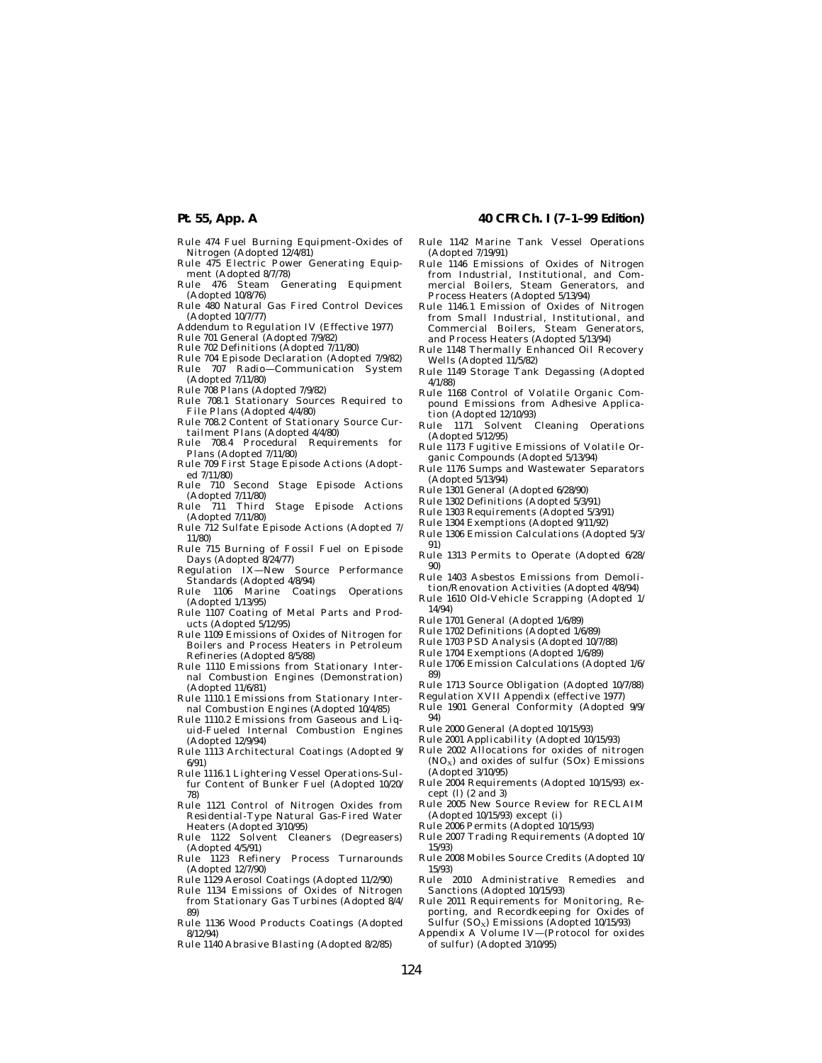- Rule 474 Fuel Burning Equipment-Oxides of Nitrogen (Adopted 12/4/81)
- Rule 475 Electric Power Generating Equipment (Adopted 8/7/78) Rule 476 Steam Generating Equipment
- (Adopted 10/8/76)
- Rule 480 Natural Gas Fired Control Devices (Adopted 10/7/77)
- Addendum to Regulation IV (Effective 1977)
- Rule 701 General (Adopted 7/9/82)
- Rule 702 Definitions (Adopted 7/11/80)
- Rule 704 Episode Declaration (Adopted 7/9/82) Rule 707 Radio—Communication System (Adopted 7/11/80)
- 
- Rule 708 Plans (Adopted 7/9/82)
- Rule 708.1 Stationary Sources Required to File Plans (Adopted  $4/4/80$ )
- Rule 708.2 Content of Stationary Source Curtailment Plans (Adopted 4/4/80)
- Rule 708.4 Procedural Requirements for Plans (Adopted 7/11/80)
- Rule 709 First Stage Episode Actions (Adopted 7/11/80)
- Rule 710 Second Stage Episode Actions  $(Adopted 7/11/80)$ <br>Rule 711 Third
- Stage Episode Actions (Adopted 7/11/80)
- Rule 712 Sulfate Episode Actions (Adopted 7/ 11/80)
- Rule 715 Burning of Fossil Fuel on Episode Days (Adopted 8/24/77)
- Regulation IX—New Source Performance Standards (Adopted 4/8/94)
- Rule 1106 Marine Coatings Operations (Adopted 1/13/95)
- Rule 1107 Coating of Metal Parts and Products (Adopted 5/12/95)
- Rule 1109 Emissions of Oxides of Nitrogen for Boilers and Process Heaters in Petroleum Refineries (Adopted 8/5/88)
- Rule 1110 Emissions from Stationary Internal Combustion Engines (Demonstration) (Adopted 11/6/81)
- Rule 1110.1 Emissions from Stationary Internal Combustion Engines (Adopted  $10/4/85$ )
- Rule 1110.2 Emissions from Gaseous and Liquid-Fueled Internal Combustion Engines (Adopted 12/9/94)
- Rule 1113 Architectural Coatings (Adopted 9/ 6/91)
- Rule 1116.1 Lightering Vessel Operations-Sul-fur Content of Bunker Fuel (Adopted 10/20/ 78)
- Rule 1121 Control of Nitrogen Oxides from Residential-Type Natural Gas-Fired Water Heaters (Adopted 3/10/95)
- Rule 1122 Solvent Cleaners (Degreasers) (Adopted 4/5/91)
- Rule 1123 Refinery Process Turnarounds (Adopted 12/7/90)
- Rule 1129 Aerosol Coatings (Adopted 11/2/90)
- Rule 1134 Emissions of Oxides of Nitrogen from Stationary Gas Turbines (Adopted 8/4/ 89)
- Rule 1136 Wood Products Coatings (Adopted 8/12/94)
- Rule 1140 Abrasive Blasting (Adopted 8/2/85)

# **Pt. 55, App. A 40 CFR Ch. I (7–1–99 Edition)**

- Rule 1142 Marine Tank Vessel Operations (Adopted 7/19/91)
- Rule 1146 Emissions of Oxides of Nitrogen from Industrial, Institutional, and Commercial Boilers, Steam Generators, and Process Heaters (Adopted 5/13/94)
- Rule 1146.1 Emission of Oxides of Nitrogen from Small Industrial, Institutional, and Commercial Boilers, Steam Generators, and Process Heaters (Adopted 5/13/94)
- Rule 1148 Thermally Enhanced Oil Recovery Wells (Adopted 11/5/82)
- Rule 1149 Storage Tank Degassing (Adopted 4/1/88)
- Rule 1168 Control of Volatile Organic Compound Emissions from Adhesive Application (Adopted 12/10/93)
- Rule 1171 Solvent Cleaning Operations (Adopted 5/12/95)
- Rule 1173 Fugitive Emissions of Volatile Organic Compounds (Adopted 5/13/94)
- Rule 1176 Sumps and Wastewater Separators (Adopted 5/13/94)
- Rule 1301 General (Adopted 6/28/90)
- Rule 1302 Definitions (Adopted 5/3/91)
- Rule 1303 Requirements (Adopted 5/3/91)
- Rule 1304 Exemptions (Adopted 9/11/92)
- Rule 1306 Emission Calculations (Adopted 5/3/ 91)
- Rule 1313 Permits to Operate (Adopted 6/28/ 90)
- Rule 1403 Asbestos Emissions from Demolition/Renovation Activities (Adopted 4/8/94)
- Rule 1610 Old-Vehicle Scrapping (Adopted 1/ 14/94)
- Rule 1701 General (Adopted 1/6/89)
- Rule 1702 Definitions (Adopted 1/6/89)
- Rule 1703 PSD Analysis (Adopted 10/7/88)
- Rule 1704 Exemptions (Adopted 1/6/89)
- Rule 1706 Emission Calculations (Adopted 1/6/ 89)
- Rule 1713 Source Obligation (Adopted 10/7/88) Regulation XVII Appendix (effective 1977)
- Rule 1901 General Conformity (Adopted 9/9/ 94)
- Rule 2000 General (Adopted 10/15/93)
- Rule 2001 Applicability (Adopted 10/15/93)
- Rule 2002 Allocations for oxides of nitrogen  $(NO<sub>x</sub>)$  and oxides of sulfur  $(SOx)$  Emissions (Adopted 3/10/95)
- Rule 2004 Requirements (Adopted 10/15/93) except (l) (2 and 3)
- Rule 2005 New Source Review for RECLAIM (Adopted 10/15/93) except (i)
- Rule 2006 Permits (Adopted 10/15/93)
- Rule 2007 Trading Requirements (Adopted 10/ 15/93)
- Rule 2008 Mobiles Source Credits (Adopted 10/ 15/93)
- Rule 2010 Administrative Remedies and Sanctions (Adopted 10/15/93)
- Rule 2011 Requirements for Monitoring, Reporting, and Recordkeeping for Oxides of  $\text{Sulfur}$  (SO<sub>x</sub>) Emissions (Adopted 10/15/93)
- Appendix A Volume IV—(Protocol for oxides of sulfur) (Adopted 3/10/95)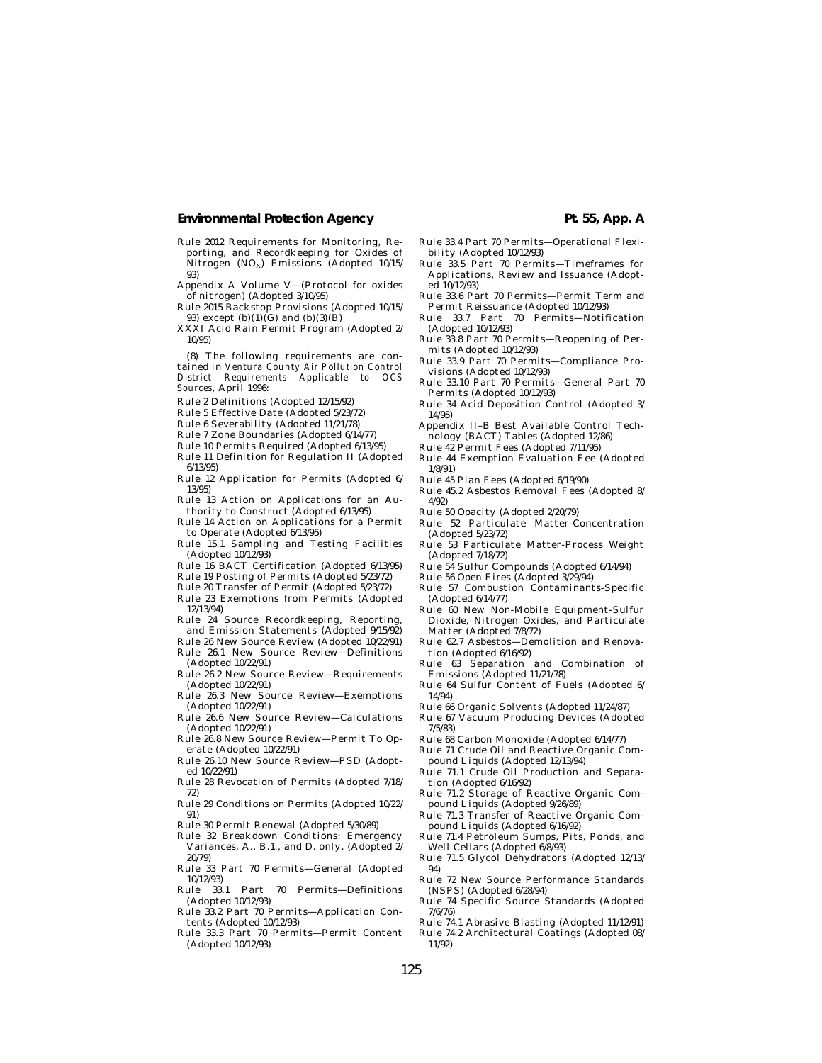### **Environmental Protection Agency Pt. 55, App. A**

- Rule 2012 Requirements for Monitoring, Reporting, and Recordkeeping for Oxides of Nitrogen  $(NO<sub>X</sub>)$  Emissions  $(Adopted 10/15/$ 93)
- Appendix A Volume V—(Protocol for oxides of nitrogen) (Adopted 3/10/95)
- Rule 2015 Backstop Provisions (Adopted 10/15/ 93) except  $(b)(1)(G)$  and  $(b)(3)(B)$
- XXXI Acid Rain Permit Program (Adopted 2/ 10/95)

(8) The following requirements are contained in *Ventura County Air Pollution Control District Requirements Applicable to OCS Sources,* April 1996:

- Rule 2 Definitions (Adopted 12/15/92)
- Rule 5 Effective Date (Adopted 5/23/72)

Rule 6 Severability (Adopted 11/21/78)

- Rule 7 Zone Boundaries (Adopted 6/14/77)
- Rule 10 Permits Required (Adopted 6/13/95)
- Rule 11 Definition for Regulation II (Adopted
- 6/13/95) Rule 12 Application for Permits (Adopted 6/ 13/95)
- Rule 13 Action on Applications for an Authority to Construct (Adopted 6/13/95)
- Rule 14 Action on Applications for a Permit to Operate (Adopted 6/13/95)
- Rule 15.1 Sampling and Testing Facilities (Adopted 10/12/93)
- Rule 16 BACT Certification (Adopted 6/13/95)
- Rule 19 Posting of Permits (Adopted 5/23/72)
- Rule 20 Transfer of Permit (Adopted 5/23/72)
- Rule 23 Exemptions from Permits (Adopted 12/13/94)
- Rule 24 Source Recordkeeping, Reporting, and Emission Statements (Adopted 9/15/92)
- Rule 26 New Source Review (Adopted 10/22/91) Rule 26.1 New Source Review—Definitions
- (Adopted 10/22/91) Rule 26.2 New Source Review—Requirements
- (Adopted 10/22/91) Rule 26.3 New Source Review—Exemptions
- (Adopted 10/22/91) Rule 26.6 New Source Review—Calculations
- (Adopted 10/22/91) Rule 26.8 New Source Review—Permit To Op-
- erate (Adopted 10/22/91)
- Rule 26.10 New Source Review—PSD (Adopted 10/22/91)
- Rule 28 Revocation of Permits (Adopted 7/18/ 72)
- Rule 29 Conditions on Permits (Adopted 10/22/ 91)
- Rule 30 Permit Renewal (Adopted 5/30/89)
- Rule 32 Breakdown Conditions: Emergency Variances, A., B.1., and D. only. (Adopted 2/ 20/79)
- Rule 33 Part 70 Permits—General (Adopted 10/12/93)
- Rule 33.1 Part 70 Permits—Definitions (Adopted 10/12/93)
- Rule 33.2 Part 70 Permits—Application Contents (Adopted 10/12/93)
- Rule 33.3 Part 70 Permits—Permit Content (Adopted 10/12/93)
- Rule 33.4 Part 70 Permits—Operational Flexibility (Adopted 10/12/93)
- Rule 33.5 Part 70 Permits—Timeframes for Applications, Review and Issuance (Adopted 10/12/93)
- Rule 33.6 Part 70 Permits—Permit Term and Permit Reissuance (Adopted 10/12/93)
- Rule 33.7 Part 70 Permits—Notification (Adopted 10/12/93)
- Rule 33.8 Part 70 Permits—Reopening of Permits (Adopted 10/12/93)
- Rule 33.9 Part 70 Permits—Compliance Provisions (Adopted 10/12/93)
- Rule 33.10 Part 70 Permits—General Part 70 Permits (Adopted 10/12/93)
- Rule 34 Acid Deposition Control (Adopted 3/ 14/95)
- Appendix II–B Best Available Control Technology (BACT) Tables (Adopted 12/86)
- Rule 42 Permit Fees (Adopted 7/11/95)
- Rule 44 Exemption Evaluation Fee (Adopted 1/8/91)
- Rule 45 Plan Fees (Adopted 6/19/90)
- Rule 45.2 Asbestos Removal Fees (Adopted 8/ 4/92)
- Rule 50 Opacity (Adopted 2/20/79)
- Rule 52 Particulate Matter-Concentration (Adopted 5/23/72)
- Rule 53 Particulate Matter-Process Weight (Adopted 7/18/72)
- Rule 54 Sulfur Compounds (Adopted 6/14/94)
- Rule 56 Open Fires (Adopted 3/29/94)
- Rule 57 Combustion Contaminants-Specific (Adopted 6/14/77)
- Rule 60 New Non-Mobile Equipment-Sulfur Dioxide, Nitrogen Oxides, and Particulate Matter (Adopted 7/8/72)
- Rule 62.7 Asbestos—Demolition and Renovation (Adopted 6/16/92)
- Rule 63 Separation and Combination of Emissions (Adopted 11/21/78)
- Rule 64 Sulfur Content of Fuels (Adopted 6/ 14/94)
- Rule 66 Organic Solvents (Adopted 11/24/87)
- Rule 67 Vacuum Producing Devices (Adopted 7/5/83)
- Rule 68 Carbon Monoxide (Adopted 6/14/77)
- Rule 71 Crude Oil and Reactive Organic Compound Liquids (Adopted 12/13/94)
- Rule 71.1 Crude Oil Production and Separation (Adopted 6/16/92)
- Rule 71.2 Storage of Reactive Organic Compound Liquids (Adopted 9/26/89)
- Rule 71.3 Transfer of Reactive Organic Compound Liquids (Adopted 6/16/92)
- Rule 71.4 Petroleum Sumps, Pits, Ponds, and Well Cellars (Adopted 6/8/93)
- Rule 71.5 Glycol Dehydrators (Adopted 12/13/ 94) Rule 72 New Source Performance Standards
- (NSPS) (Adopted 6/28/94)
- Rule 74 Specific Source Standards (Adopted 7/6/76)
- Rule 74.1 Abrasive Blasting (Adopted 11/12/91) Rule 74.2 Architectural Coatings (Adopted 08/ 11/92)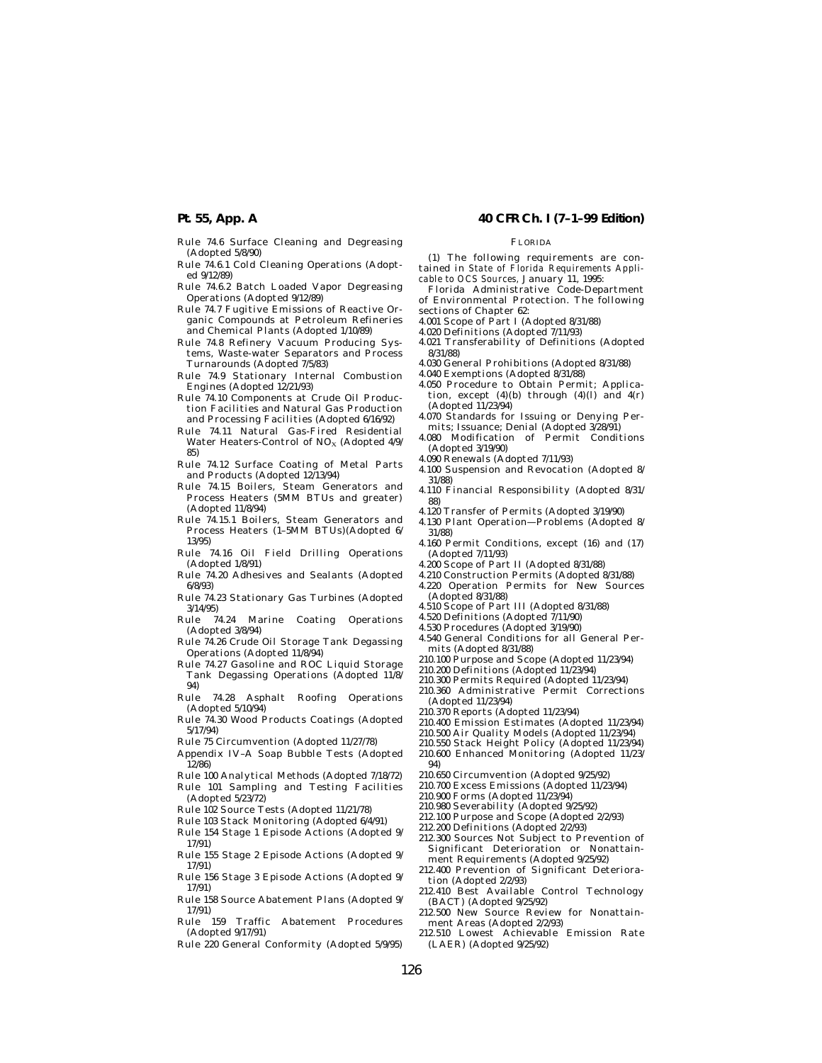- Rule 74.6 Surface Cleaning and Degreasing (Adopted 5/8/90)
- Rule 74.6.1 Cold Cleaning Operations (Adopted 9/12/89)
- Rule 74.6.2 Batch Loaded Vapor Degreasing Operations (Adopted 9/12/89)
- Rule 74.7 Fugitive Emissions of Reactive Organic Compounds at Petroleum Refineries and Chemical Plants (Adopted 1/10/89)
- Rule 74.8 Refinery Vacuum Producing Systems, Waste-water Separators and Process Turnarounds (Adopted 7/5/83)
- Rule 74.9 Stationary Internal Combustion Engines (Adopted 12/21/93)
- Rule 74.10 Components at Crude Oil Production Facilities and Natural Gas Production and Processing Facilities (Adopted 6/16/92)
- Rule 74.11 Natural Gas-Fired Residential Water Heaters-Control of NO<sub>X</sub> (Adopted 4/9/ 85)
- Rule 74.12 Surface Coating of Metal Parts and Products (Adopted 12/13/94)
- Rule 74.15 Boilers, Steam Generators and Process Heaters (5MM BTUs and greater) (Adopted 11/8/94)
- Rule 74.15.1 Boilers, Steam Generators and Process Heaters (1–5MM BTUs)(Adopted 6/ 13/95)
- Rule 74.16 Oil Field Drilling Operations (Adopted 1/8/91)
- Rule 74.20 Adhesives and Sealants (Adopted 6/8/93)
- Rule 74.23 Stationary Gas Turbines (Adopted 3/14/95)
- Marine Coating Operations (Adopted 3/8/94)
- Rule 74.26 Crude Oil Storage Tank Degassing Operations (Adopted 11/8/94)
- Rule 74.27 Gasoline and ROC Liquid Storage Tank Degassing Operations (Adopted 11/8/ 94)
- Rule 74.28 Asphalt Roofing Operations (Adopted 5/10/94)
- Rule 74.30 Wood Products Coatings (Adopted 5/17/94)
- Rule 75 Circumvention (Adopted 11/27/78)
- Appendix IV–A Soap Bubble Tests (Adopted 12/86)
- Rule 100 Analytical Methods (Adopted 7/18/72) Rule 101 Sampling and Testing Facilities (Adopted 5/23/72)
- Rule 102 Source Tests (Adopted 11/21/78)
- Rule 103 Stack Monitoring (Adopted 6/4/91)
- Rule 154 Stage 1 Episode Actions (Adopted 9/ 17/91)
- Rule 155 Stage 2 Episode Actions (Adopted 9/ 17/91)
- Rule 156 Stage 3 Episode Actions (Adopted 9/ 17/91)
- Rule 158 Source Abatement Plans (Adopted 9/ 17/91)
- Rule 159 Traffic Abatement Procedures (Adopted 9/17/91)
- Rule 220 General Conformity (Adopted 5/9/95)

# **Pt. 55, App. A 40 CFR Ch. I (7–1–99 Edition)**

#### FLORIDA

(1) The following requirements are con-tained in *State of Florida Requirements Applicable to OCS Sources,* January 11, 1995: Florida Administrative Code-Department

of Environmental Protection. The following sections of Chapter 62:

- 4.001 Scope of Part I (Adopted 8/31/88)
- 4.020 Definitions (Adopted 7/11/93)
- 4.021 Transferability of Definitions (Adopted 8/31/88)
- 4.030 General Prohibitions (Adopted 8/31/88)
- 4.040 Exemptions (Adopted 8/31/88)
- 4.050 Procedure to Obtain Permit; Application, except  $(4)(b)$  through  $(4)(l)$  and  $4(r)$ (Adopted 11/23/94)
- 4.070 Standards for Issuing or Denying Permits; Issuance; Denial (Adopted 3/28/91)
- 4.080 Modification of Permit Conditions (Adopted 3/19/90)
- 4.090 Renewals (Adopted 7/11/93)
- 4.100 Suspension and Revocation (Adopted 8/ 31/88)
- 4.110 Financial Responsibility (Adopted 8/31/ 88)
- 4.120 Transfer of Permits (Adopted 3/19/90)
- 4.130 Plant Operation—Problems (Adopted 8/ 31/88)
- 4.160 Permit Conditions, except (16) and (17) (Adopted 7/11/93)
- 4.200 Scope of Part II (Adopted 8/31/88)
- 4.210 Construction Permits (Adopted 8/31/88)
- 4.220 Operation Permits for New Sources (Adopted 8/31/88)
- 4.510 Scope of Part III (Adopted 8/31/88)
- 4.520 Definitions (Adopted 7/11/90)
- 4.530 Procedures (Adopted 3/19/90)
- 4.540 General Conditions for all General Permits (Adopted 8/31/88)
- 210.100 Purpose and Scope (Adopted 11/23/94)
- 210.200 Definitions (Adopted 11/23/94)
- 210.300 Permits Required (Adopted 11/23/94)
- 210.360 Administrative Permit Corrections (Adopted 11/23/94)
- 210.370 Reports (Adopted 11/23/94)
- 210.400 Emission Estimates (Adopted 11/23/94)
- 210.500 Air Quality Models (Adopted 11/23/94)
- 210.550 Stack Height Policy (Adopted 11/23/94)
- 210.600 Enhanced Monitoring (Adopted 11/23/ 94)
- 210.650 Circumvention (Adopted 9/25/92)
- 210.700 Excess Emissions (Adopted 11/23/94)
- 210.900 Forms (Adopted 11/23/94)
- 
- 210.980 Severability (Adopted 9/25/92) 212.100 Purpose and Scope (Adopted 2/2/93)
- 212.200 Definitions (Adopted 2/2/93)
- 
- 212.300 Sources Not Subject to Prevention of Significant Deterioration or Nonattainment Requirements (Adopted 9/25/92)
- 212.400 Prevention of Significant Deterioration (Adopted 2/2/93)
- 212.410 Best Available Control Technology (BACT) (Adopted 9/25/92)
- 212.500 New Source Review for Nonattainment Areas (Adopted 2/2/93)
- 212.510 Lowest Achievable Emission Rate (LAER) (Adopted 9/25/92)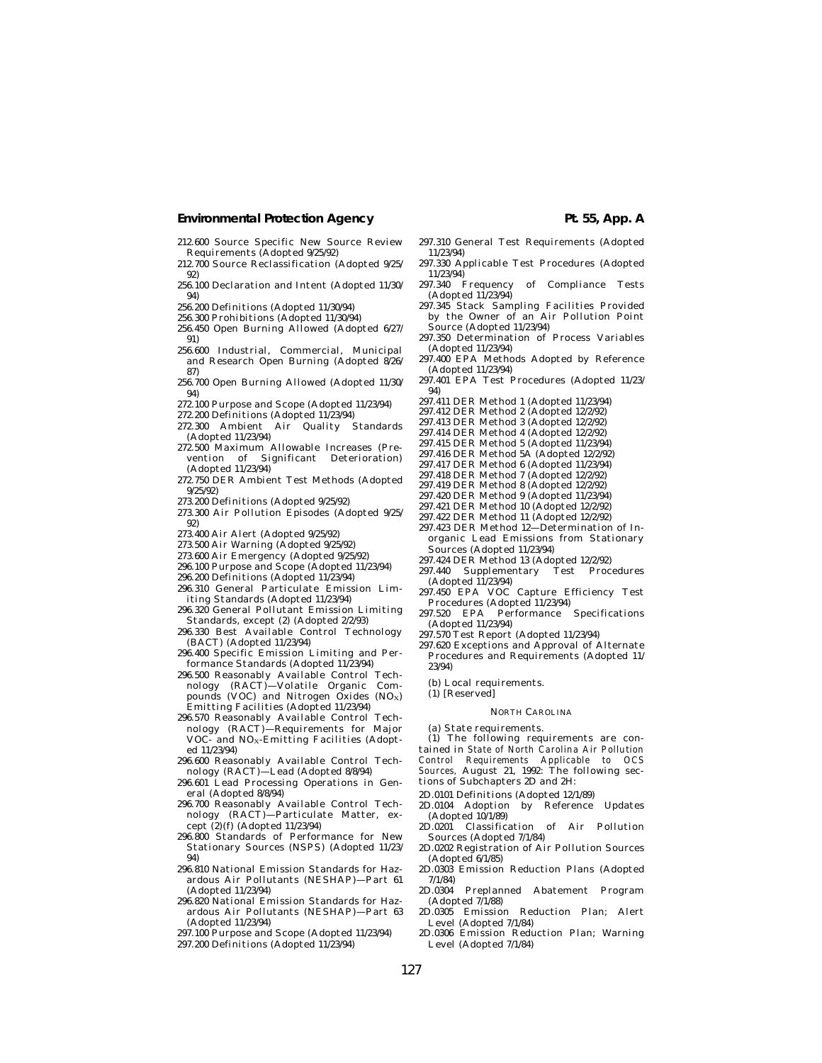### **Environmental Protection Agency Pt. 55, App. A**

212.600 Source Specific New Source Review Requirements (Adopted 9/25/92)

212.700 Source Reclassification (Adopted 9/25/ 92)

256.100 Declaration and Intent (Adopted 11/30/ 94)

256.200 Definitions (Adopted 11/30/94)

256.300 Prohibitions (Adopted 11/30/94)

- 256.450 Open Burning Allowed (Adopted 6/27/ 91) 256.600 Industrial, Commercial, Municipal
- and Research Open Burning (Adopted 8/26/ 87)
- 256.700 Open Burning Allowed (Adopted 11/30/ 94)

272.100 Purpose and Scope (Adopted 11/23/94)

272.200 Definitions (Adopted 11/23/94)

- 272.300 Ambient Air Quality Standards (Adopted 11/23/94)
- 272.500 Maximum Allowable Increases (Prevention of Significant Deterioration) (Adopted 11/23/94)
- 272.750 DER Ambient Test Methods (Adopted 9/25/92)
- 273.200 Definitions (Adopted 9/25/92)
- 273.300 Air Pollution Episodes (Adopted 9/25/ 92)
- 273.400 Air Alert (Adopted 9/25/92)
- 273.500 Air Warning (Adopted 9/25/92)
- 273.600 Air Emergency (Adopted 9/25/92)
- 296.100 Purpose and Scope (Adopted 11/23/94)
- 296.200 Definitions (Adopted 11/23/94)
- 296.310 General Particulate Emission Limiting Standards (Adopted 11/23/94)
- 296.320 General Pollutant Emission Limiting Standards, except (2) (Adopted 2/2/93)
- 296.330 Best Available Control Technology (BACT) (Adopted 11/23/94)
- 296.400 Specific Emission Limiting and Performance Standards (Adopted 11/23/94)
- 296.500 Reasonably Available Control Technology (RACT)—Volatile Organic Compounds (VOC) and Nitrogen Oxides  $(NO<sub>X</sub>)$ Emitting Facilities (Adopted 11/23/94)
- 296.570 Reasonably Available Control Technology (RACT)—Requirements for Major VOC- and NO<sub>x</sub>-Emitting Facilities (Adopted 11/23/94)
- 296.600 Reasonably Available Control Technology (RACT)—Lead (Adopted 8/8/94)
- 296.601 Lead Processing Operations in General (Adopted 8/8/94)
- 296.700 Reasonably Available Control Technology (RACT)—Particulate Matter, except (2)(f) (Adopted 11/23/94)
- 296.800 Standards of Performance for New Stationary Sources (NSPS) (Adopted 11/23/ 94)
- 296.810 National Emission Standards for Hazardous Air Pollutants (NESHAP)—Part 61 (Adopted 11/23/94)
- 296.820 National Emission Standards for Hazardous Air Pollutants (NESHAP)—Part 63 (Adopted 11/23/94)
- 297.100 Purpose and Scope (Adopted 11/23/94)
- 297.200 Definitions (Adopted 11/23/94)
- 297.310 General Test Requirements (Adopted 11/23/94)
- 297.330 Applicable Test Procedures (Adopted  $11/23/94$ )<br>297.340 Frequency
- of Compliance Tests  $(Adopted 11/23/94)$
- 297.345 Stack Sampling Facilities Provided by the Owner of an Air Pollution Point Source (Adopted 11/23/94)
- 297.350 Determination of Process Variables (Adopted 11/23/94)
- 297.400 EPA Methods Adopted by Reference (Adopted 11/23/94)
- 297.401 EPA Test Procedures (Adopted 11/23/ 94)
- 297.411 DER Method 1 (Adopted 11/23/94)
- 297.412 DER Method 2 (Adopted 12/2/92) 297.413 DER Method 3 (Adopted 12/2/92)
- 
- 297.414 DER Method 4 (Adopted 12/2/92)
- 297.415 DER Method 5 (Adopted 11/23/94)
- 297.416 DER Method 5A (Adopted 12/2/92)
- 297.417 DER Method 6 (Adopted 11/23/94) 297.418 DER Method 7 (Adopted 12/2/92)
- 
- 297.419 DER Method 8 (Adopted 12/2/92) 297.420 DER Method 9 (Adopted 11/23/94)
- 297.421 DER Method 10 (Adopted 12/2/92)
- 297.422 DER Method 11 (Adopted 12/2/92)
- 297.423 DER Method 12—Determination of In-
- organic Lead Emissions from Stationary Sources (Adopted 11/23/94)
- 
- 297.424 DER Method 13 (Adopted 12/2/92) 297.440 Supplementary Test Procedures (Adopted 11/23/94)
- 297.450 EPA VOC Capture Efficiency Test Procedures (Adopted 11/23/94)
- 297.520 EPA Performance Specifications (Adopted 11/23/94)
- 297.570 Test Report (Adopted 11/23/94)
- 297.620 Exceptions and Approval of Alternate Procedures and Requirements (Adopted 11/ 23/94)
	- (b) Local requirements.
- (1) [Reserved]

#### NORTH CAROLINA

(a) State requirements.

(1) The following requirements are contained in *State of North Carolina Air Pollution Control Requirements Applicable to OCS Sources,* August 21, 1992: The following sections of Subchapters 2D and 2H:

- 
- 2D.0101 Definitions (Adopted 12/1/89)<br>2D.0104 Adoption by Reference 2D.0104 Adoption by Reference Updates  $(Adopted 10/1/89)$
- 2D.0201 Classification of Air Pollution Sources (Adopted 7/1/84)
- 2D.0202 Registration of Air Pollution Sources (Adopted 6/1/85)
- 2D.0303 Emission Reduction Plans (Adopted 7/1/84)
- 2D.0304 Preplanned Abatement Program (Adopted 7/1/88)
- 2D.0305 Emission Reduction Plan; Alert Level (Adopted 7/1/84)
- 2D.0306 Emission Reduction Plan; Warning Level (Adopted 7/1/84)